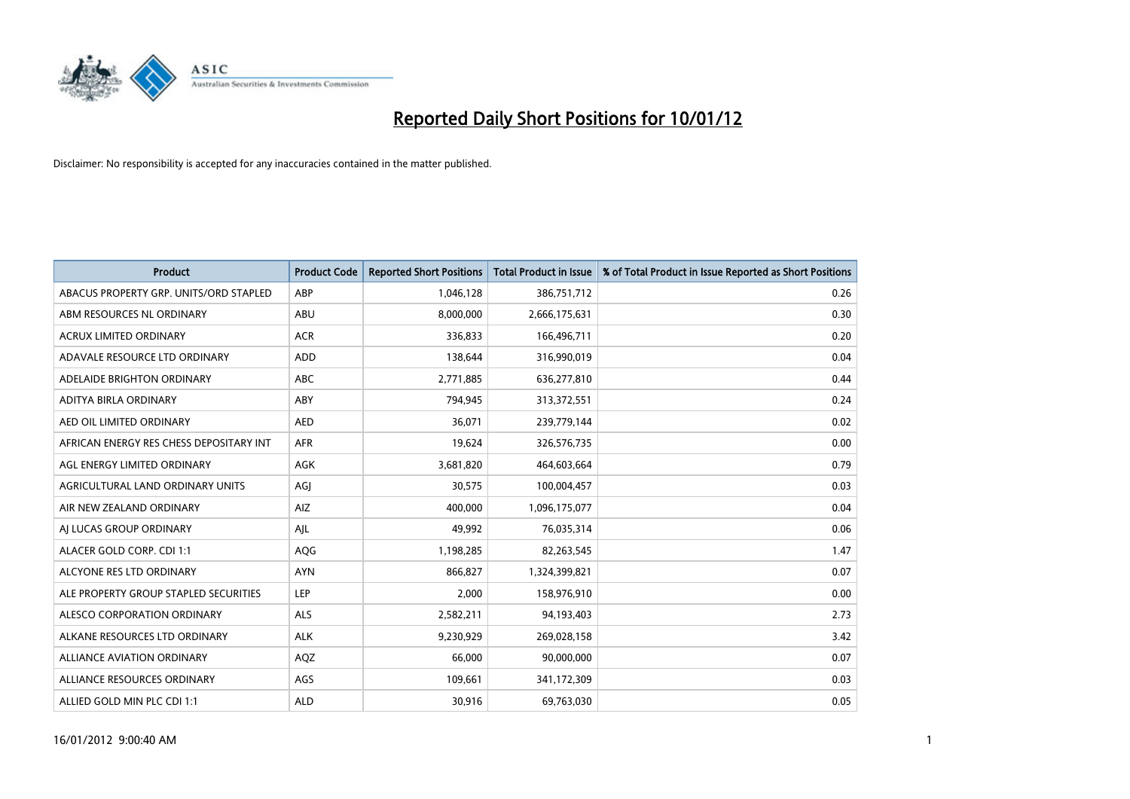

| <b>Product</b>                          | <b>Product Code</b> | <b>Reported Short Positions</b> | <b>Total Product in Issue</b> | % of Total Product in Issue Reported as Short Positions |
|-----------------------------------------|---------------------|---------------------------------|-------------------------------|---------------------------------------------------------|
| ABACUS PROPERTY GRP. UNITS/ORD STAPLED  | ABP                 | 1,046,128                       | 386,751,712                   | 0.26                                                    |
| ABM RESOURCES NL ORDINARY               | <b>ABU</b>          | 8,000,000                       | 2,666,175,631                 | 0.30                                                    |
| <b>ACRUX LIMITED ORDINARY</b>           | <b>ACR</b>          | 336,833                         | 166,496,711                   | 0.20                                                    |
| ADAVALE RESOURCE LTD ORDINARY           | <b>ADD</b>          | 138,644                         | 316,990,019                   | 0.04                                                    |
| ADELAIDE BRIGHTON ORDINARY              | <b>ABC</b>          | 2,771,885                       | 636,277,810                   | 0.44                                                    |
| ADITYA BIRLA ORDINARY                   | ABY                 | 794,945                         | 313,372,551                   | 0.24                                                    |
| AED OIL LIMITED ORDINARY                | <b>AED</b>          | 36,071                          | 239,779,144                   | 0.02                                                    |
| AFRICAN ENERGY RES CHESS DEPOSITARY INT | <b>AFR</b>          | 19,624                          | 326,576,735                   | 0.00                                                    |
| AGL ENERGY LIMITED ORDINARY             | <b>AGK</b>          | 3,681,820                       | 464,603,664                   | 0.79                                                    |
| AGRICULTURAL LAND ORDINARY UNITS        | AGI                 | 30,575                          | 100,004,457                   | 0.03                                                    |
| AIR NEW ZEALAND ORDINARY                | AIZ                 | 400,000                         | 1,096,175,077                 | 0.04                                                    |
| AI LUCAS GROUP ORDINARY                 | AJL                 | 49,992                          | 76,035,314                    | 0.06                                                    |
| ALACER GOLD CORP. CDI 1:1               | <b>AQG</b>          | 1,198,285                       | 82,263,545                    | 1.47                                                    |
| ALCYONE RES LTD ORDINARY                | <b>AYN</b>          | 866,827                         | 1,324,399,821                 | 0.07                                                    |
| ALE PROPERTY GROUP STAPLED SECURITIES   | LEP                 | 2,000                           | 158,976,910                   | 0.00                                                    |
| ALESCO CORPORATION ORDINARY             | ALS                 | 2,582,211                       | 94,193,403                    | 2.73                                                    |
| ALKANE RESOURCES LTD ORDINARY           | <b>ALK</b>          | 9,230,929                       | 269,028,158                   | 3.42                                                    |
| ALLIANCE AVIATION ORDINARY              | AQZ                 | 66,000                          | 90,000,000                    | 0.07                                                    |
| ALLIANCE RESOURCES ORDINARY             | AGS                 | 109,661                         | 341,172,309                   | 0.03                                                    |
| ALLIED GOLD MIN PLC CDI 1:1             | <b>ALD</b>          | 30,916                          | 69,763,030                    | 0.05                                                    |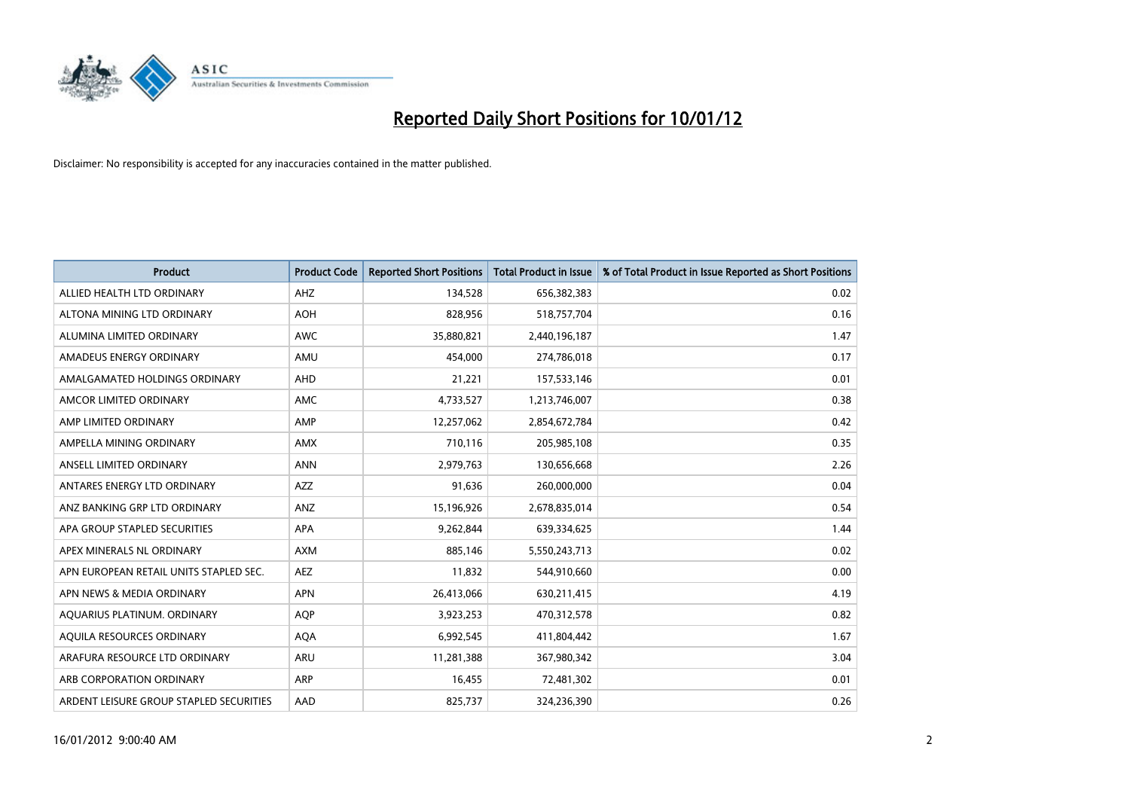

| <b>Product</b>                          | <b>Product Code</b> | <b>Reported Short Positions</b> | <b>Total Product in Issue</b> | % of Total Product in Issue Reported as Short Positions |
|-----------------------------------------|---------------------|---------------------------------|-------------------------------|---------------------------------------------------------|
| ALLIED HEALTH LTD ORDINARY              | AHZ                 | 134,528                         | 656,382,383                   | 0.02                                                    |
| ALTONA MINING LTD ORDINARY              | <b>AOH</b>          | 828,956                         | 518,757,704                   | 0.16                                                    |
| ALUMINA LIMITED ORDINARY                | <b>AWC</b>          | 35,880,821                      | 2,440,196,187                 | 1.47                                                    |
| AMADEUS ENERGY ORDINARY                 | AMU                 | 454,000                         | 274,786,018                   | 0.17                                                    |
| AMALGAMATED HOLDINGS ORDINARY           | AHD                 | 21,221                          | 157,533,146                   | 0.01                                                    |
| AMCOR LIMITED ORDINARY                  | <b>AMC</b>          | 4,733,527                       | 1,213,746,007                 | 0.38                                                    |
| AMP LIMITED ORDINARY                    | AMP                 | 12,257,062                      | 2,854,672,784                 | 0.42                                                    |
| AMPELLA MINING ORDINARY                 | <b>AMX</b>          | 710,116                         | 205,985,108                   | 0.35                                                    |
| ANSELL LIMITED ORDINARY                 | <b>ANN</b>          | 2,979,763                       | 130,656,668                   | 2.26                                                    |
| ANTARES ENERGY LTD ORDINARY             | <b>AZZ</b>          | 91,636                          | 260,000,000                   | 0.04                                                    |
| ANZ BANKING GRP LTD ORDINARY            | ANZ                 | 15,196,926                      | 2,678,835,014                 | 0.54                                                    |
| APA GROUP STAPLED SECURITIES            | <b>APA</b>          | 9,262,844                       | 639,334,625                   | 1.44                                                    |
| APEX MINERALS NL ORDINARY               | <b>AXM</b>          | 885,146                         | 5,550,243,713                 | 0.02                                                    |
| APN EUROPEAN RETAIL UNITS STAPLED SEC.  | <b>AEZ</b>          | 11,832                          | 544,910,660                   | 0.00                                                    |
| APN NEWS & MEDIA ORDINARY               | <b>APN</b>          | 26,413,066                      | 630,211,415                   | 4.19                                                    |
| AQUARIUS PLATINUM. ORDINARY             | <b>AOP</b>          | 3,923,253                       | 470,312,578                   | 0.82                                                    |
| AQUILA RESOURCES ORDINARY               | <b>AQA</b>          | 6,992,545                       | 411,804,442                   | 1.67                                                    |
| ARAFURA RESOURCE LTD ORDINARY           | <b>ARU</b>          | 11,281,388                      | 367,980,342                   | 3.04                                                    |
| ARB CORPORATION ORDINARY                | ARP                 | 16,455                          | 72,481,302                    | 0.01                                                    |
| ARDENT LEISURE GROUP STAPLED SECURITIES | AAD                 | 825.737                         | 324,236,390                   | 0.26                                                    |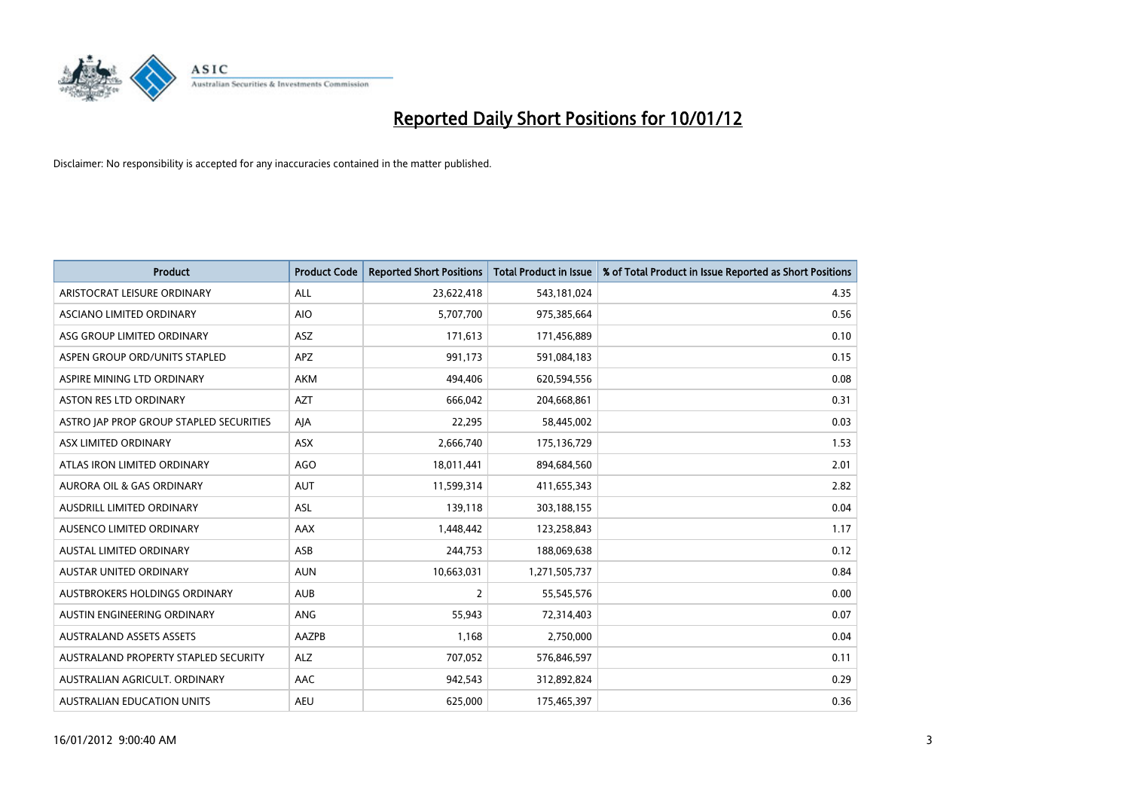

| <b>Product</b>                          | <b>Product Code</b> | <b>Reported Short Positions</b> | <b>Total Product in Issue</b> | % of Total Product in Issue Reported as Short Positions |
|-----------------------------------------|---------------------|---------------------------------|-------------------------------|---------------------------------------------------------|
| ARISTOCRAT LEISURE ORDINARY             | <b>ALL</b>          | 23,622,418                      | 543,181,024                   | 4.35                                                    |
| ASCIANO LIMITED ORDINARY                | <b>AIO</b>          | 5,707,700                       | 975,385,664                   | 0.56                                                    |
| ASG GROUP LIMITED ORDINARY              | <b>ASZ</b>          | 171,613                         | 171,456,889                   | 0.10                                                    |
| ASPEN GROUP ORD/UNITS STAPLED           | APZ                 | 991,173                         | 591,084,183                   | 0.15                                                    |
| ASPIRE MINING LTD ORDINARY              | <b>AKM</b>          | 494,406                         | 620,594,556                   | 0.08                                                    |
| <b>ASTON RES LTD ORDINARY</b>           | <b>AZT</b>          | 666,042                         | 204,668,861                   | 0.31                                                    |
| ASTRO JAP PROP GROUP STAPLED SECURITIES | AJA                 | 22,295                          | 58,445,002                    | 0.03                                                    |
| ASX LIMITED ORDINARY                    | ASX                 | 2,666,740                       | 175,136,729                   | 1.53                                                    |
| ATLAS IRON LIMITED ORDINARY             | <b>AGO</b>          | 18,011,441                      | 894,684,560                   | 2.01                                                    |
| <b>AURORA OIL &amp; GAS ORDINARY</b>    | <b>AUT</b>          | 11,599,314                      | 411,655,343                   | 2.82                                                    |
| AUSDRILL LIMITED ORDINARY               | <b>ASL</b>          | 139,118                         | 303,188,155                   | 0.04                                                    |
| <b>AUSENCO LIMITED ORDINARY</b>         | AAX                 | 1,448,442                       | 123,258,843                   | 1.17                                                    |
| AUSTAL LIMITED ORDINARY                 | ASB                 | 244,753                         | 188,069,638                   | 0.12                                                    |
| <b>AUSTAR UNITED ORDINARY</b>           | <b>AUN</b>          | 10,663,031                      | 1,271,505,737                 | 0.84                                                    |
| AUSTBROKERS HOLDINGS ORDINARY           | <b>AUB</b>          | 2                               | 55,545,576                    | 0.00                                                    |
| AUSTIN ENGINEERING ORDINARY             | ANG                 | 55,943                          | 72,314,403                    | 0.07                                                    |
| <b>AUSTRALAND ASSETS ASSETS</b>         | AAZPB               | 1,168                           | 2,750,000                     | 0.04                                                    |
| AUSTRALAND PROPERTY STAPLED SECURITY    | <b>ALZ</b>          | 707,052                         | 576,846,597                   | 0.11                                                    |
| AUSTRALIAN AGRICULT, ORDINARY           | AAC                 | 942,543                         | 312,892,824                   | 0.29                                                    |
| <b>AUSTRALIAN EDUCATION UNITS</b>       | <b>AEU</b>          | 625.000                         | 175,465,397                   | 0.36                                                    |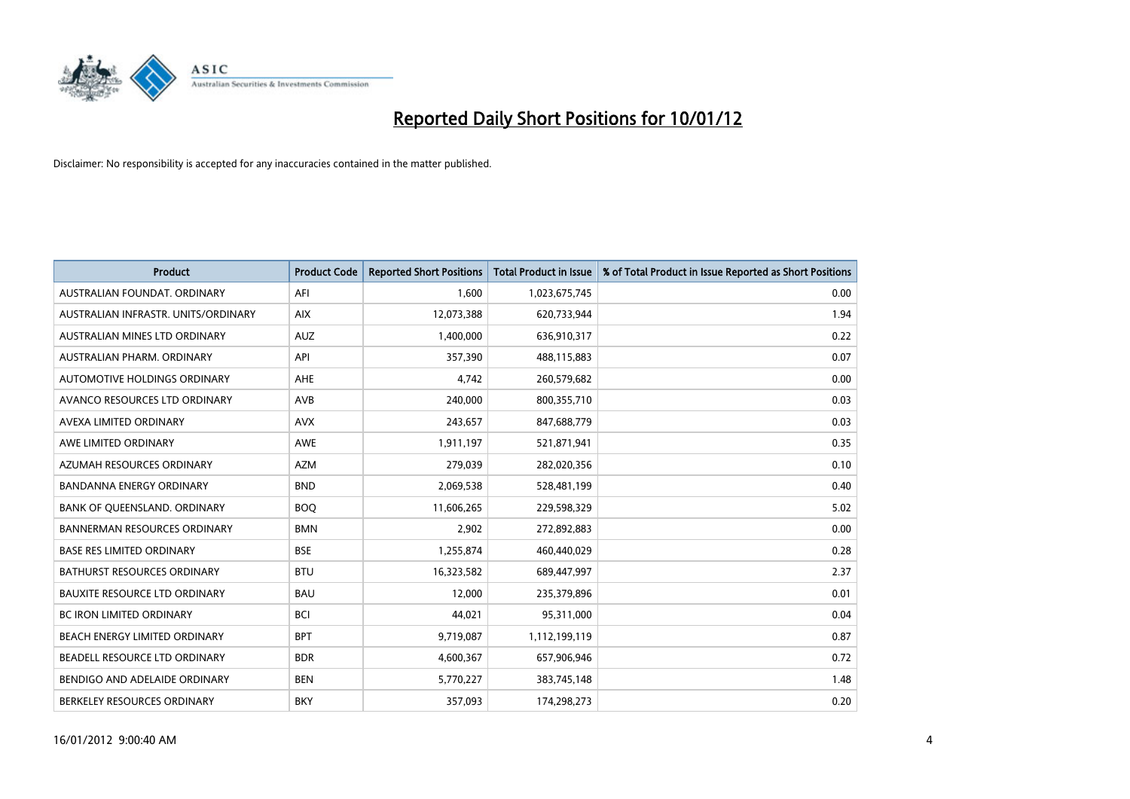

| <b>Product</b>                       | <b>Product Code</b> | <b>Reported Short Positions</b> | <b>Total Product in Issue</b> | % of Total Product in Issue Reported as Short Positions |
|--------------------------------------|---------------------|---------------------------------|-------------------------------|---------------------------------------------------------|
| AUSTRALIAN FOUNDAT, ORDINARY         | AFI                 | 1,600                           | 1,023,675,745                 | 0.00                                                    |
| AUSTRALIAN INFRASTR. UNITS/ORDINARY  | <b>AIX</b>          | 12,073,388                      | 620,733,944                   | 1.94                                                    |
| AUSTRALIAN MINES LTD ORDINARY        | <b>AUZ</b>          | 1,400,000                       | 636,910,317                   | 0.22                                                    |
| AUSTRALIAN PHARM. ORDINARY           | API                 | 357,390                         | 488,115,883                   | 0.07                                                    |
| AUTOMOTIVE HOLDINGS ORDINARY         | <b>AHE</b>          | 4,742                           | 260,579,682                   | 0.00                                                    |
| AVANCO RESOURCES LTD ORDINARY        | AVB                 | 240,000                         | 800,355,710                   | 0.03                                                    |
| AVEXA LIMITED ORDINARY               | <b>AVX</b>          | 243.657                         | 847,688,779                   | 0.03                                                    |
| AWE LIMITED ORDINARY                 | <b>AWE</b>          | 1,911,197                       | 521,871,941                   | 0.35                                                    |
| AZUMAH RESOURCES ORDINARY            | <b>AZM</b>          | 279,039                         | 282,020,356                   | 0.10                                                    |
| <b>BANDANNA ENERGY ORDINARY</b>      | <b>BND</b>          | 2,069,538                       | 528,481,199                   | 0.40                                                    |
| BANK OF QUEENSLAND. ORDINARY         | <b>BOQ</b>          | 11,606,265                      | 229,598,329                   | 5.02                                                    |
| <b>BANNERMAN RESOURCES ORDINARY</b>  | <b>BMN</b>          | 2,902                           | 272,892,883                   | 0.00                                                    |
| <b>BASE RES LIMITED ORDINARY</b>     | <b>BSE</b>          | 1,255,874                       | 460,440,029                   | 0.28                                                    |
| <b>BATHURST RESOURCES ORDINARY</b>   | <b>BTU</b>          | 16,323,582                      | 689,447,997                   | 2.37                                                    |
| <b>BAUXITE RESOURCE LTD ORDINARY</b> | <b>BAU</b>          | 12,000                          | 235,379,896                   | 0.01                                                    |
| BC IRON LIMITED ORDINARY             | <b>BCI</b>          | 44,021                          | 95,311,000                    | 0.04                                                    |
| BEACH ENERGY LIMITED ORDINARY        | <b>BPT</b>          | 9,719,087                       | 1,112,199,119                 | 0.87                                                    |
| BEADELL RESOURCE LTD ORDINARY        | <b>BDR</b>          | 4,600,367                       | 657,906,946                   | 0.72                                                    |
| BENDIGO AND ADELAIDE ORDINARY        | <b>BEN</b>          | 5,770,227                       | 383,745,148                   | 1.48                                                    |
| BERKELEY RESOURCES ORDINARY          | <b>BKY</b>          | 357,093                         | 174,298,273                   | 0.20                                                    |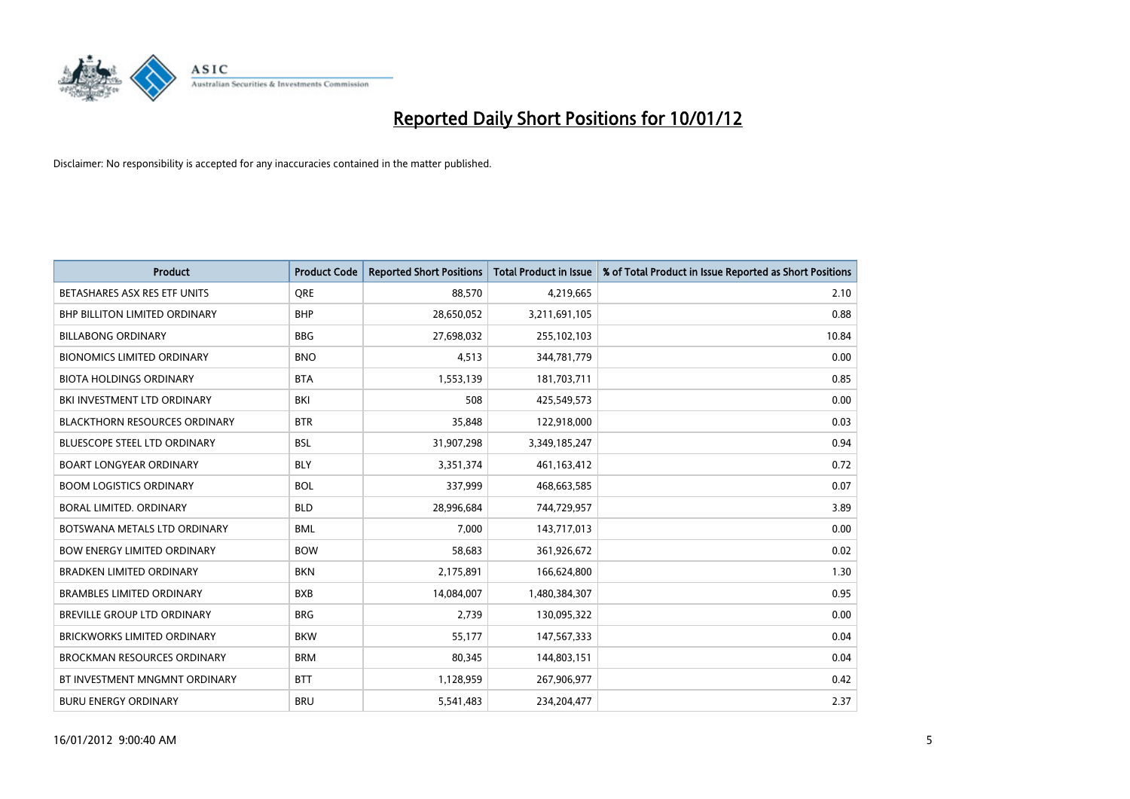

| <b>Product</b>                       | <b>Product Code</b> | <b>Reported Short Positions</b> | <b>Total Product in Issue</b> | % of Total Product in Issue Reported as Short Positions |
|--------------------------------------|---------------------|---------------------------------|-------------------------------|---------------------------------------------------------|
| BETASHARES ASX RES ETF UNITS         | <b>ORE</b>          | 88,570                          | 4,219,665                     | 2.10                                                    |
| <b>BHP BILLITON LIMITED ORDINARY</b> | <b>BHP</b>          | 28,650,052                      | 3,211,691,105                 | 0.88                                                    |
| <b>BILLABONG ORDINARY</b>            | <b>BBG</b>          | 27,698,032                      | 255,102,103                   | 10.84                                                   |
| <b>BIONOMICS LIMITED ORDINARY</b>    | <b>BNO</b>          | 4,513                           | 344,781,779                   | 0.00                                                    |
| <b>BIOTA HOLDINGS ORDINARY</b>       | <b>BTA</b>          | 1,553,139                       | 181,703,711                   | 0.85                                                    |
| BKI INVESTMENT LTD ORDINARY          | BKI                 | 508                             | 425,549,573                   | 0.00                                                    |
| <b>BLACKTHORN RESOURCES ORDINARY</b> | <b>BTR</b>          | 35,848                          | 122,918,000                   | 0.03                                                    |
| <b>BLUESCOPE STEEL LTD ORDINARY</b>  | <b>BSL</b>          | 31,907,298                      | 3,349,185,247                 | 0.94                                                    |
| <b>BOART LONGYEAR ORDINARY</b>       | <b>BLY</b>          | 3,351,374                       | 461, 163, 412                 | 0.72                                                    |
| <b>BOOM LOGISTICS ORDINARY</b>       | <b>BOL</b>          | 337,999                         | 468,663,585                   | 0.07                                                    |
| BORAL LIMITED, ORDINARY              | <b>BLD</b>          | 28,996,684                      | 744,729,957                   | 3.89                                                    |
| BOTSWANA METALS LTD ORDINARY         | <b>BML</b>          | 7,000                           | 143,717,013                   | 0.00                                                    |
| <b>BOW ENERGY LIMITED ORDINARY</b>   | <b>BOW</b>          | 58,683                          | 361,926,672                   | 0.02                                                    |
| <b>BRADKEN LIMITED ORDINARY</b>      | <b>BKN</b>          | 2,175,891                       | 166,624,800                   | 1.30                                                    |
| <b>BRAMBLES LIMITED ORDINARY</b>     | <b>BXB</b>          | 14,084,007                      | 1,480,384,307                 | 0.95                                                    |
| <b>BREVILLE GROUP LTD ORDINARY</b>   | <b>BRG</b>          | 2,739                           | 130,095,322                   | 0.00                                                    |
| <b>BRICKWORKS LIMITED ORDINARY</b>   | <b>BKW</b>          | 55,177                          | 147,567,333                   | 0.04                                                    |
| <b>BROCKMAN RESOURCES ORDINARY</b>   | <b>BRM</b>          | 80,345                          | 144,803,151                   | 0.04                                                    |
| BT INVESTMENT MNGMNT ORDINARY        | <b>BTT</b>          | 1,128,959                       | 267,906,977                   | 0.42                                                    |
| <b>BURU ENERGY ORDINARY</b>          | <b>BRU</b>          | 5,541,483                       | 234,204,477                   | 2.37                                                    |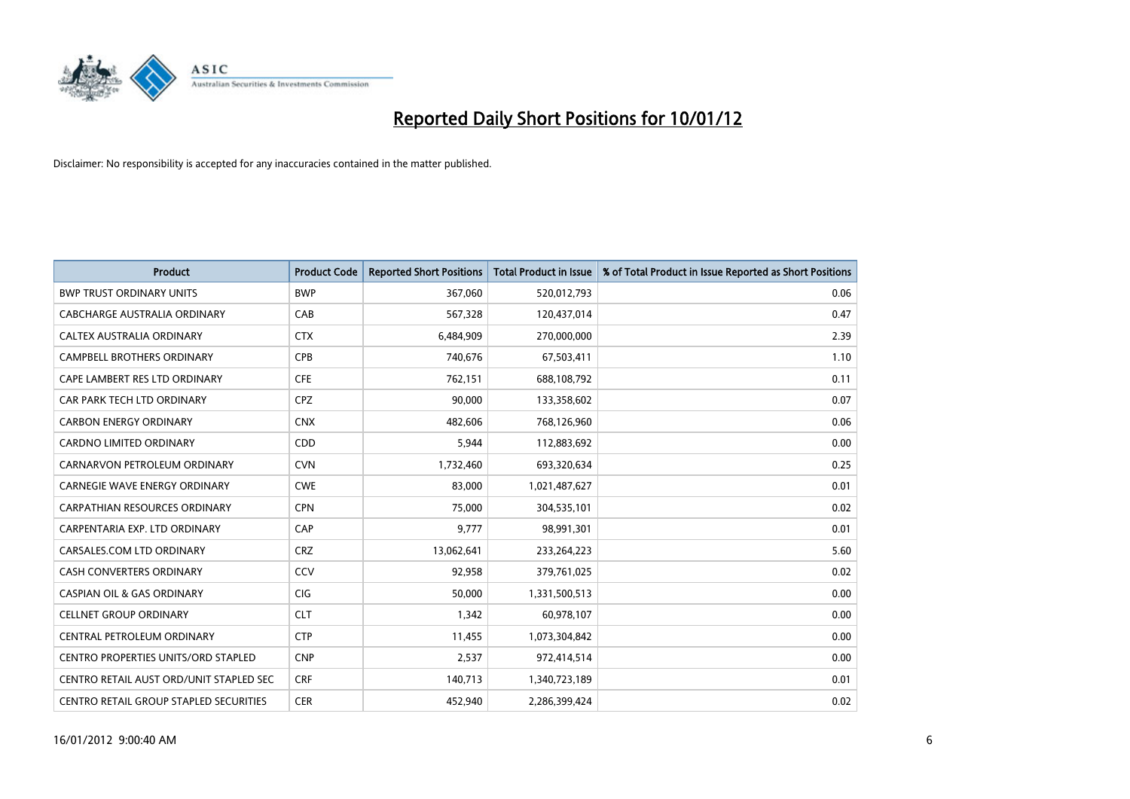

| <b>Product</b>                                | <b>Product Code</b> | <b>Reported Short Positions</b> | <b>Total Product in Issue</b> | % of Total Product in Issue Reported as Short Positions |
|-----------------------------------------------|---------------------|---------------------------------|-------------------------------|---------------------------------------------------------|
| <b>BWP TRUST ORDINARY UNITS</b>               | <b>BWP</b>          | 367,060                         | 520,012,793                   | 0.06                                                    |
| CABCHARGE AUSTRALIA ORDINARY                  | CAB                 | 567,328                         | 120,437,014                   | 0.47                                                    |
| <b>CALTEX AUSTRALIA ORDINARY</b>              | <b>CTX</b>          | 6,484,909                       | 270,000,000                   | 2.39                                                    |
| CAMPBELL BROTHERS ORDINARY                    | <b>CPB</b>          | 740,676                         | 67,503,411                    | 1.10                                                    |
| CAPE LAMBERT RES LTD ORDINARY                 | <b>CFE</b>          | 762,151                         | 688,108,792                   | 0.11                                                    |
| CAR PARK TECH LTD ORDINARY                    | <b>CPZ</b>          | 90,000                          | 133,358,602                   | 0.07                                                    |
| <b>CARBON ENERGY ORDINARY</b>                 | <b>CNX</b>          | 482.606                         | 768,126,960                   | 0.06                                                    |
| <b>CARDNO LIMITED ORDINARY</b>                | CDD                 | 5,944                           | 112,883,692                   | 0.00                                                    |
| CARNARVON PETROLEUM ORDINARY                  | <b>CVN</b>          | 1,732,460                       | 693,320,634                   | 0.25                                                    |
| <b>CARNEGIE WAVE ENERGY ORDINARY</b>          | <b>CWE</b>          | 83,000                          | 1,021,487,627                 | 0.01                                                    |
| <b>CARPATHIAN RESOURCES ORDINARY</b>          | <b>CPN</b>          | 75,000                          | 304,535,101                   | 0.02                                                    |
| CARPENTARIA EXP. LTD ORDINARY                 | CAP                 | 9,777                           | 98,991,301                    | 0.01                                                    |
| CARSALES.COM LTD ORDINARY                     | <b>CRZ</b>          | 13,062,641                      | 233, 264, 223                 | 5.60                                                    |
| <b>CASH CONVERTERS ORDINARY</b>               | CCV                 | 92,958                          | 379,761,025                   | 0.02                                                    |
| <b>CASPIAN OIL &amp; GAS ORDINARY</b>         | <b>CIG</b>          | 50,000                          | 1,331,500,513                 | 0.00                                                    |
| <b>CELLNET GROUP ORDINARY</b>                 | <b>CLT</b>          | 1,342                           | 60,978,107                    | 0.00                                                    |
| CENTRAL PETROLEUM ORDINARY                    | <b>CTP</b>          | 11,455                          | 1,073,304,842                 | 0.00                                                    |
| <b>CENTRO PROPERTIES UNITS/ORD STAPLED</b>    | <b>CNP</b>          | 2,537                           | 972,414,514                   | 0.00                                                    |
| CENTRO RETAIL AUST ORD/UNIT STAPLED SEC       | <b>CRF</b>          | 140,713                         | 1,340,723,189                 | 0.01                                                    |
| <b>CENTRO RETAIL GROUP STAPLED SECURITIES</b> | <b>CER</b>          | 452.940                         | 2.286.399.424                 | 0.02                                                    |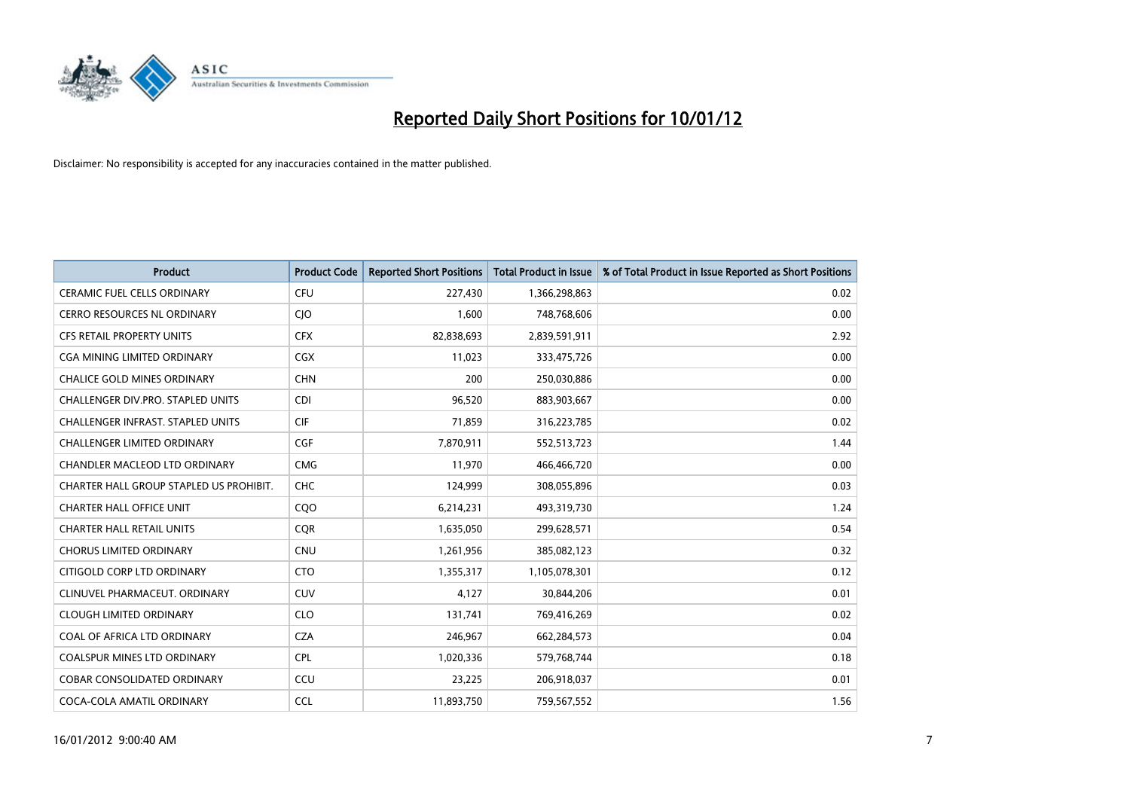

| <b>Product</b>                           | <b>Product Code</b> | <b>Reported Short Positions</b> | <b>Total Product in Issue</b> | % of Total Product in Issue Reported as Short Positions |
|------------------------------------------|---------------------|---------------------------------|-------------------------------|---------------------------------------------------------|
| <b>CERAMIC FUEL CELLS ORDINARY</b>       | <b>CFU</b>          | 227,430                         | 1,366,298,863                 | 0.02                                                    |
| CERRO RESOURCES NL ORDINARY              | <b>CIO</b>          | 1,600                           | 748,768,606                   | 0.00                                                    |
| <b>CFS RETAIL PROPERTY UNITS</b>         | <b>CFX</b>          | 82,838,693                      | 2,839,591,911                 | 2.92                                                    |
| CGA MINING LIMITED ORDINARY              | <b>CGX</b>          | 11,023                          | 333,475,726                   | 0.00                                                    |
| <b>CHALICE GOLD MINES ORDINARY</b>       | <b>CHN</b>          | 200                             | 250,030,886                   | 0.00                                                    |
| CHALLENGER DIV.PRO. STAPLED UNITS        | <b>CDI</b>          | 96,520                          | 883,903,667                   | 0.00                                                    |
| <b>CHALLENGER INFRAST. STAPLED UNITS</b> | <b>CIF</b>          | 71,859                          | 316,223,785                   | 0.02                                                    |
| CHALLENGER LIMITED ORDINARY              | <b>CGF</b>          | 7,870,911                       | 552,513,723                   | 1.44                                                    |
| CHANDLER MACLEOD LTD ORDINARY            | <b>CMG</b>          | 11,970                          | 466,466,720                   | 0.00                                                    |
| CHARTER HALL GROUP STAPLED US PROHIBIT.  | <b>CHC</b>          | 124,999                         | 308,055,896                   | 0.03                                                    |
| <b>CHARTER HALL OFFICE UNIT</b>          | CQ <sub>O</sub>     | 6,214,231                       | 493,319,730                   | 1.24                                                    |
| <b>CHARTER HALL RETAIL UNITS</b>         | <b>COR</b>          | 1,635,050                       | 299,628,571                   | 0.54                                                    |
| <b>CHORUS LIMITED ORDINARY</b>           | <b>CNU</b>          | 1,261,956                       | 385,082,123                   | 0.32                                                    |
| CITIGOLD CORP LTD ORDINARY               | <b>CTO</b>          | 1,355,317                       | 1,105,078,301                 | 0.12                                                    |
| CLINUVEL PHARMACEUT, ORDINARY            | CUV                 | 4,127                           | 30,844,206                    | 0.01                                                    |
| <b>CLOUGH LIMITED ORDINARY</b>           | <b>CLO</b>          | 131,741                         | 769,416,269                   | 0.02                                                    |
| COAL OF AFRICA LTD ORDINARY              | <b>CZA</b>          | 246,967                         | 662,284,573                   | 0.04                                                    |
| COALSPUR MINES LTD ORDINARY              | <b>CPL</b>          | 1,020,336                       | 579,768,744                   | 0.18                                                    |
| <b>COBAR CONSOLIDATED ORDINARY</b>       | CCU                 | 23,225                          | 206,918,037                   | 0.01                                                    |
| COCA-COLA AMATIL ORDINARY                | <b>CCL</b>          | 11,893,750                      | 759,567,552                   | 1.56                                                    |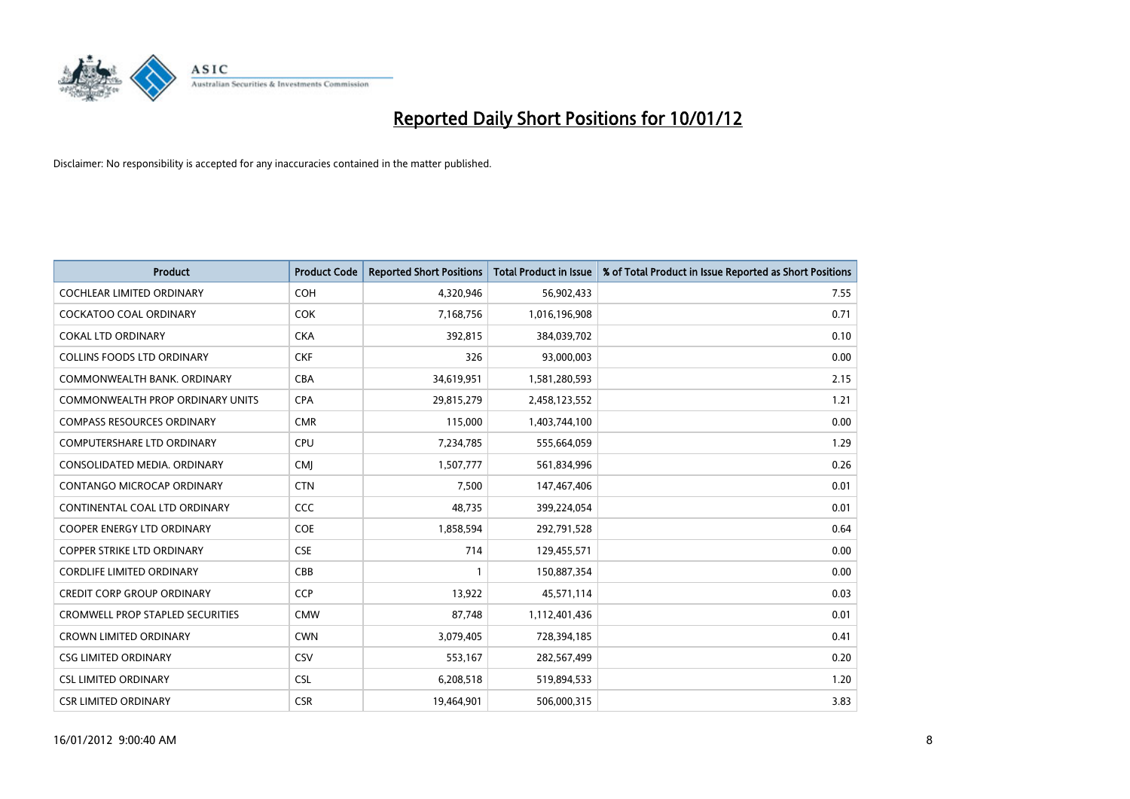

| <b>Product</b>                          | <b>Product Code</b> | <b>Reported Short Positions</b> | Total Product in Issue | % of Total Product in Issue Reported as Short Positions |
|-----------------------------------------|---------------------|---------------------------------|------------------------|---------------------------------------------------------|
| <b>COCHLEAR LIMITED ORDINARY</b>        | COH                 | 4,320,946                       | 56,902,433             | 7.55                                                    |
| <b>COCKATOO COAL ORDINARY</b>           | <b>COK</b>          | 7,168,756                       | 1,016,196,908          | 0.71                                                    |
| <b>COKAL LTD ORDINARY</b>               | <b>CKA</b>          | 392,815                         | 384,039,702            | 0.10                                                    |
| <b>COLLINS FOODS LTD ORDINARY</b>       | <b>CKF</b>          | 326                             | 93,000,003             | 0.00                                                    |
| COMMONWEALTH BANK, ORDINARY             | <b>CBA</b>          | 34,619,951                      | 1,581,280,593          | 2.15                                                    |
| <b>COMMONWEALTH PROP ORDINARY UNITS</b> | <b>CPA</b>          | 29,815,279                      | 2,458,123,552          | 1.21                                                    |
| <b>COMPASS RESOURCES ORDINARY</b>       | <b>CMR</b>          | 115.000                         | 1,403,744,100          | 0.00                                                    |
| <b>COMPUTERSHARE LTD ORDINARY</b>       | CPU                 | 7,234,785                       | 555,664,059            | 1.29                                                    |
| CONSOLIDATED MEDIA, ORDINARY            | <b>CMI</b>          | 1,507,777                       | 561,834,996            | 0.26                                                    |
| <b>CONTANGO MICROCAP ORDINARY</b>       | <b>CTN</b>          | 7,500                           | 147,467,406            | 0.01                                                    |
| CONTINENTAL COAL LTD ORDINARY           | <b>CCC</b>          | 48,735                          | 399,224,054            | 0.01                                                    |
| <b>COOPER ENERGY LTD ORDINARY</b>       | <b>COE</b>          | 1,858,594                       | 292,791,528            | 0.64                                                    |
| <b>COPPER STRIKE LTD ORDINARY</b>       | <b>CSE</b>          | 714                             | 129,455,571            | 0.00                                                    |
| <b>CORDLIFE LIMITED ORDINARY</b>        | CBB                 |                                 | 150,887,354            | 0.00                                                    |
| <b>CREDIT CORP GROUP ORDINARY</b>       | <b>CCP</b>          | 13,922                          | 45,571,114             | 0.03                                                    |
| <b>CROMWELL PROP STAPLED SECURITIES</b> | <b>CMW</b>          | 87,748                          | 1,112,401,436          | 0.01                                                    |
| <b>CROWN LIMITED ORDINARY</b>           | <b>CWN</b>          | 3,079,405                       | 728,394,185            | 0.41                                                    |
| <b>CSG LIMITED ORDINARY</b>             | CSV                 | 553,167                         | 282,567,499            | 0.20                                                    |
| <b>CSL LIMITED ORDINARY</b>             | <b>CSL</b>          | 6,208,518                       | 519,894,533            | 1.20                                                    |
| <b>CSR LIMITED ORDINARY</b>             | <b>CSR</b>          | 19.464.901                      | 506,000,315            | 3.83                                                    |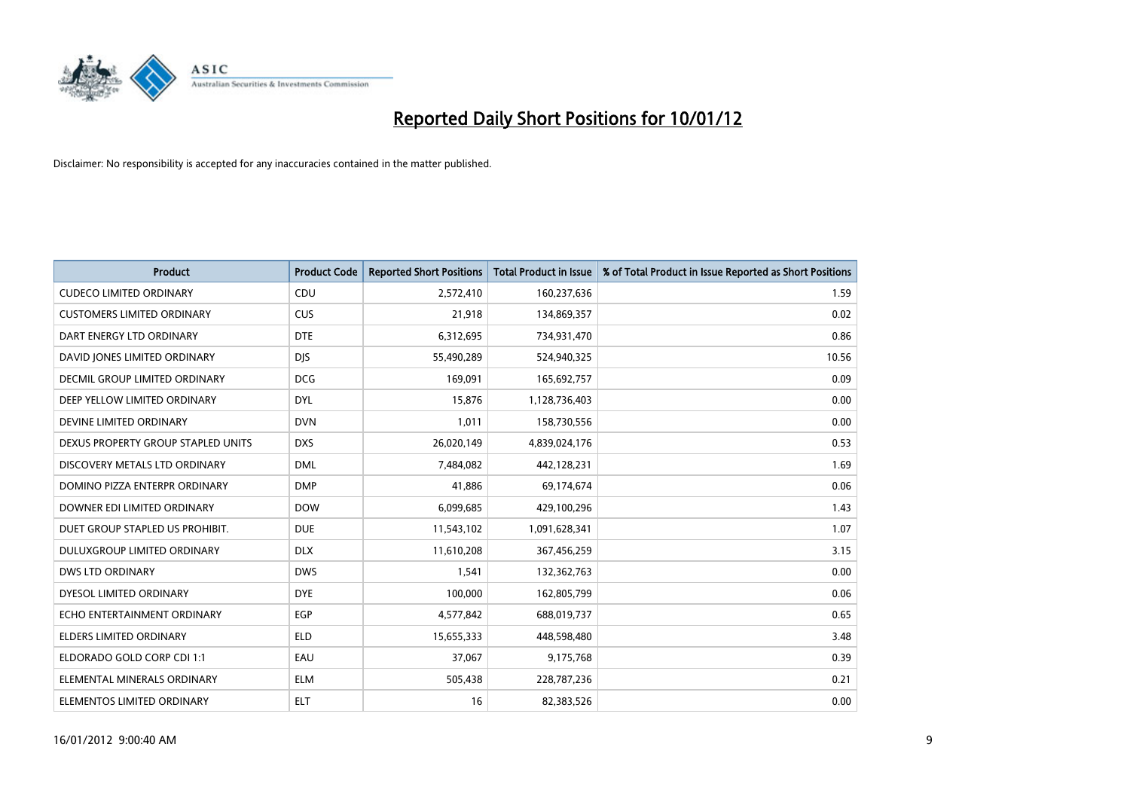

| <b>Product</b>                     | <b>Product Code</b> | <b>Reported Short Positions</b> | <b>Total Product in Issue</b> | % of Total Product in Issue Reported as Short Positions |
|------------------------------------|---------------------|---------------------------------|-------------------------------|---------------------------------------------------------|
| <b>CUDECO LIMITED ORDINARY</b>     | CDU                 | 2,572,410                       | 160,237,636                   | 1.59                                                    |
| <b>CUSTOMERS LIMITED ORDINARY</b>  | <b>CUS</b>          | 21,918                          | 134,869,357                   | 0.02                                                    |
| DART ENERGY LTD ORDINARY           | <b>DTE</b>          | 6,312,695                       | 734,931,470                   | 0.86                                                    |
| DAVID JONES LIMITED ORDINARY       | <b>DJS</b>          | 55,490,289                      | 524,940,325                   | 10.56                                                   |
| DECMIL GROUP LIMITED ORDINARY      | <b>DCG</b>          | 169,091                         | 165,692,757                   | 0.09                                                    |
| DEEP YELLOW LIMITED ORDINARY       | <b>DYL</b>          | 15,876                          | 1,128,736,403                 | 0.00                                                    |
| DEVINE LIMITED ORDINARY            | <b>DVN</b>          | 1,011                           | 158,730,556                   | 0.00                                                    |
| DEXUS PROPERTY GROUP STAPLED UNITS | <b>DXS</b>          | 26,020,149                      | 4,839,024,176                 | 0.53                                                    |
| DISCOVERY METALS LTD ORDINARY      | <b>DML</b>          | 7,484,082                       | 442,128,231                   | 1.69                                                    |
| DOMINO PIZZA ENTERPR ORDINARY      | <b>DMP</b>          | 41,886                          | 69,174,674                    | 0.06                                                    |
| DOWNER EDI LIMITED ORDINARY        | <b>DOW</b>          | 6,099,685                       | 429,100,296                   | 1.43                                                    |
| DUET GROUP STAPLED US PROHIBIT.    | <b>DUE</b>          | 11,543,102                      | 1,091,628,341                 | 1.07                                                    |
| DULUXGROUP LIMITED ORDINARY        | <b>DLX</b>          | 11,610,208                      | 367,456,259                   | 3.15                                                    |
| <b>DWS LTD ORDINARY</b>            | <b>DWS</b>          | 1,541                           | 132,362,763                   | 0.00                                                    |
| DYESOL LIMITED ORDINARY            | <b>DYE</b>          | 100,000                         | 162,805,799                   | 0.06                                                    |
| ECHO ENTERTAINMENT ORDINARY        | <b>EGP</b>          | 4,577,842                       | 688,019,737                   | 0.65                                                    |
| ELDERS LIMITED ORDINARY            | <b>ELD</b>          | 15,655,333                      | 448,598,480                   | 3.48                                                    |
| ELDORADO GOLD CORP CDI 1:1         | EAU                 | 37,067                          | 9,175,768                     | 0.39                                                    |
| ELEMENTAL MINERALS ORDINARY        | <b>ELM</b>          | 505,438                         | 228,787,236                   | 0.21                                                    |
| ELEMENTOS LIMITED ORDINARY         | <b>ELT</b>          | 16                              | 82,383,526                    | 0.00                                                    |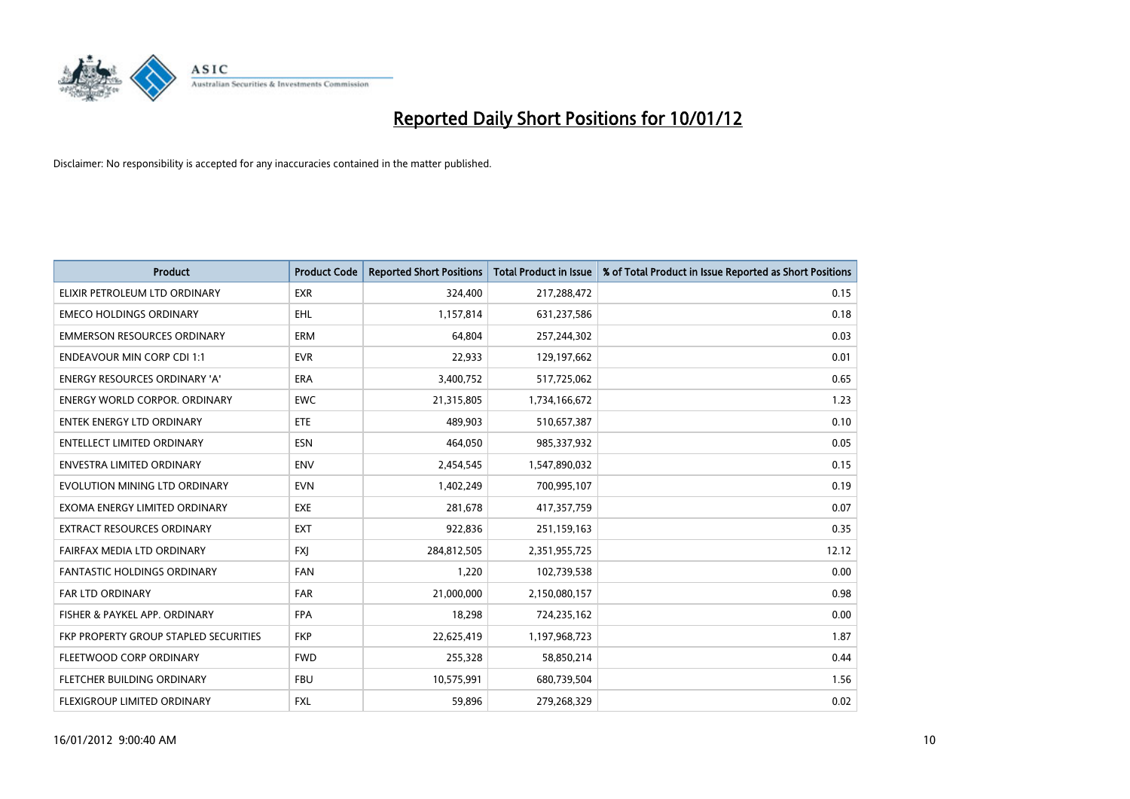

| <b>Product</b>                        | <b>Product Code</b> | <b>Reported Short Positions</b> | <b>Total Product in Issue</b> | % of Total Product in Issue Reported as Short Positions |
|---------------------------------------|---------------------|---------------------------------|-------------------------------|---------------------------------------------------------|
| ELIXIR PETROLEUM LTD ORDINARY         | <b>EXR</b>          | 324,400                         | 217,288,472                   | 0.15                                                    |
| <b>EMECO HOLDINGS ORDINARY</b>        | <b>EHL</b>          | 1,157,814                       | 631,237,586                   | 0.18                                                    |
| <b>EMMERSON RESOURCES ORDINARY</b>    | <b>ERM</b>          | 64,804                          | 257,244,302                   | 0.03                                                    |
| <b>ENDEAVOUR MIN CORP CDI 1:1</b>     | <b>EVR</b>          | 22,933                          | 129,197,662                   | 0.01                                                    |
| <b>ENERGY RESOURCES ORDINARY 'A'</b>  | <b>ERA</b>          | 3,400,752                       | 517,725,062                   | 0.65                                                    |
| <b>ENERGY WORLD CORPOR, ORDINARY</b>  | <b>EWC</b>          | 21,315,805                      | 1,734,166,672                 | 1.23                                                    |
| ENTEK ENERGY LTD ORDINARY             | ETE                 | 489,903                         | 510,657,387                   | 0.10                                                    |
| <b>ENTELLECT LIMITED ORDINARY</b>     | <b>ESN</b>          | 464,050                         | 985,337,932                   | 0.05                                                    |
| <b>ENVESTRA LIMITED ORDINARY</b>      | <b>ENV</b>          | 2,454,545                       | 1,547,890,032                 | 0.15                                                    |
| EVOLUTION MINING LTD ORDINARY         | <b>EVN</b>          | 1,402,249                       | 700,995,107                   | 0.19                                                    |
| EXOMA ENERGY LIMITED ORDINARY         | <b>EXE</b>          | 281,678                         | 417,357,759                   | 0.07                                                    |
| EXTRACT RESOURCES ORDINARY            | <b>EXT</b>          | 922,836                         | 251,159,163                   | 0.35                                                    |
| FAIRFAX MEDIA LTD ORDINARY            | <b>FXI</b>          | 284,812,505                     | 2,351,955,725                 | 12.12                                                   |
| <b>FANTASTIC HOLDINGS ORDINARY</b>    | <b>FAN</b>          | 1,220                           | 102,739,538                   | 0.00                                                    |
| <b>FAR LTD ORDINARY</b>               | <b>FAR</b>          | 21,000,000                      | 2,150,080,157                 | 0.98                                                    |
| FISHER & PAYKEL APP. ORDINARY         | <b>FPA</b>          | 18,298                          | 724,235,162                   | 0.00                                                    |
| FKP PROPERTY GROUP STAPLED SECURITIES | <b>FKP</b>          | 22,625,419                      | 1,197,968,723                 | 1.87                                                    |
| FLEETWOOD CORP ORDINARY               | <b>FWD</b>          | 255,328                         | 58,850,214                    | 0.44                                                    |
| FLETCHER BUILDING ORDINARY            | <b>FBU</b>          | 10,575,991                      | 680,739,504                   | 1.56                                                    |
| FLEXIGROUP LIMITED ORDINARY           | <b>FXL</b>          | 59,896                          | 279,268,329                   | 0.02                                                    |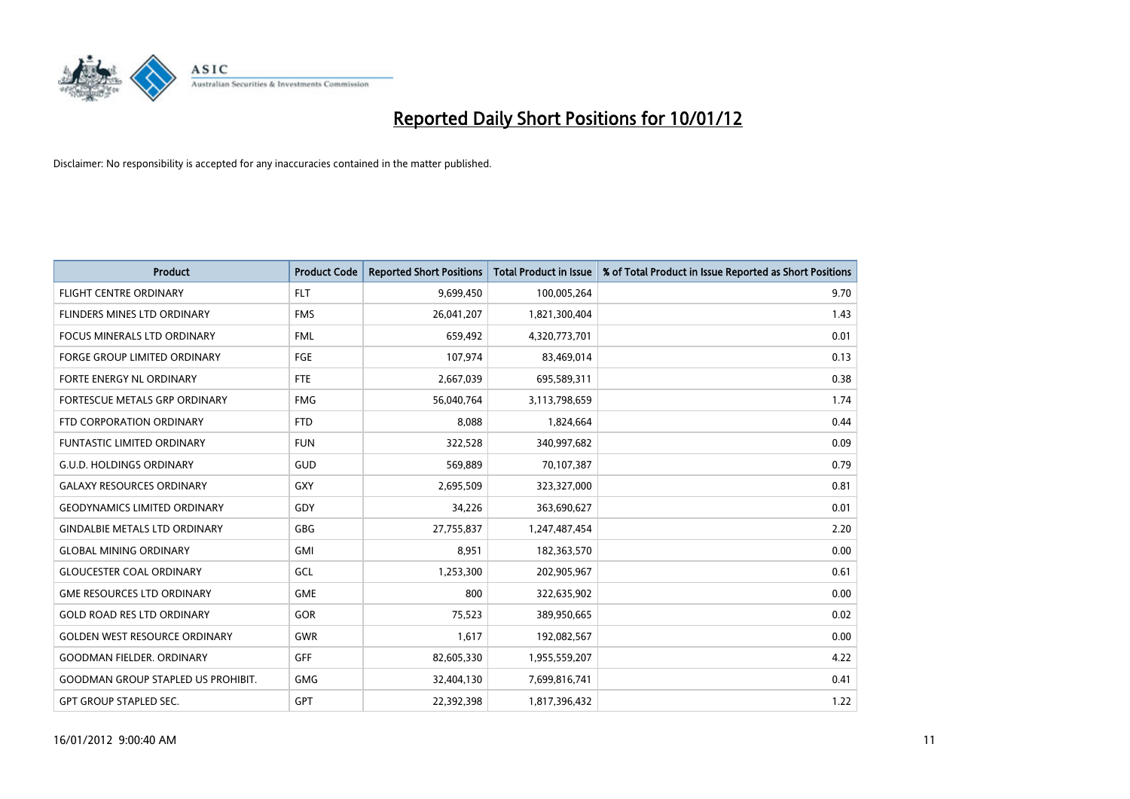

| <b>Product</b>                            | <b>Product Code</b> | <b>Reported Short Positions</b> | <b>Total Product in Issue</b> | % of Total Product in Issue Reported as Short Positions |
|-------------------------------------------|---------------------|---------------------------------|-------------------------------|---------------------------------------------------------|
| <b>FLIGHT CENTRE ORDINARY</b>             | <b>FLT</b>          | 9,699,450                       | 100,005,264                   | 9.70                                                    |
| FLINDERS MINES LTD ORDINARY               | <b>FMS</b>          | 26,041,207                      | 1,821,300,404                 | 1.43                                                    |
| <b>FOCUS MINERALS LTD ORDINARY</b>        | <b>FML</b>          | 659,492                         | 4,320,773,701                 | 0.01                                                    |
| FORGE GROUP LIMITED ORDINARY              | FGE                 | 107,974                         | 83,469,014                    | 0.13                                                    |
| FORTE ENERGY NL ORDINARY                  | FTE                 | 2,667,039                       | 695,589,311                   | 0.38                                                    |
| FORTESCUE METALS GRP ORDINARY             | <b>FMG</b>          | 56,040,764                      | 3,113,798,659                 | 1.74                                                    |
| FTD CORPORATION ORDINARY                  | <b>FTD</b>          | 8,088                           | 1,824,664                     | 0.44                                                    |
| FUNTASTIC LIMITED ORDINARY                | <b>FUN</b>          | 322,528                         | 340,997,682                   | 0.09                                                    |
| <b>G.U.D. HOLDINGS ORDINARY</b>           | GUD                 | 569,889                         | 70,107,387                    | 0.79                                                    |
| <b>GALAXY RESOURCES ORDINARY</b>          | <b>GXY</b>          | 2,695,509                       | 323,327,000                   | 0.81                                                    |
| <b>GEODYNAMICS LIMITED ORDINARY</b>       | GDY                 | 34,226                          | 363,690,627                   | 0.01                                                    |
| <b>GINDALBIE METALS LTD ORDINARY</b>      | <b>GBG</b>          | 27,755,837                      | 1,247,487,454                 | 2.20                                                    |
| <b>GLOBAL MINING ORDINARY</b>             | <b>GMI</b>          | 8,951                           | 182,363,570                   | 0.00                                                    |
| <b>GLOUCESTER COAL ORDINARY</b>           | GCL                 | 1,253,300                       | 202,905,967                   | 0.61                                                    |
| <b>GME RESOURCES LTD ORDINARY</b>         | <b>GME</b>          | 800                             | 322,635,902                   | 0.00                                                    |
| <b>GOLD ROAD RES LTD ORDINARY</b>         | GOR                 | 75,523                          | 389,950,665                   | 0.02                                                    |
| <b>GOLDEN WEST RESOURCE ORDINARY</b>      | <b>GWR</b>          | 1,617                           | 192,082,567                   | 0.00                                                    |
| <b>GOODMAN FIELDER. ORDINARY</b>          | <b>GFF</b>          | 82,605,330                      | 1,955,559,207                 | 4.22                                                    |
| <b>GOODMAN GROUP STAPLED US PROHIBIT.</b> | <b>GMG</b>          | 32,404,130                      | 7,699,816,741                 | 0.41                                                    |
| <b>GPT GROUP STAPLED SEC.</b>             | <b>GPT</b>          | 22,392,398                      | 1,817,396,432                 | 1.22                                                    |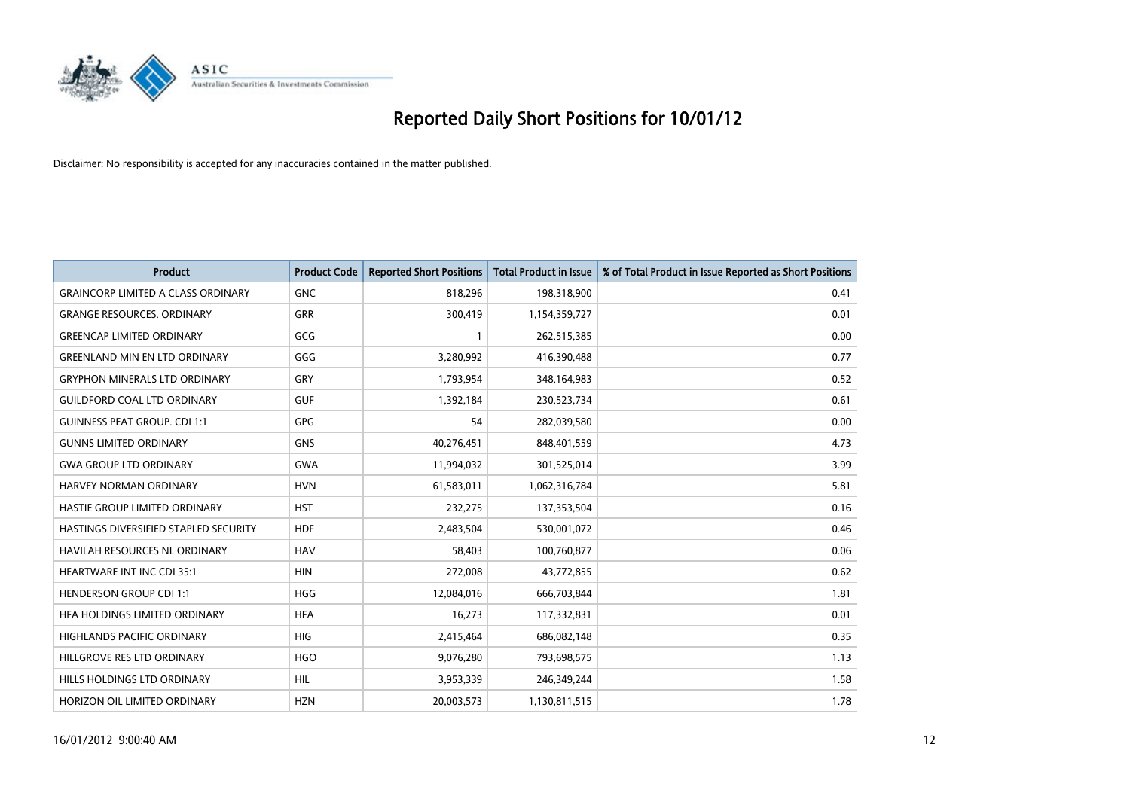

| <b>Product</b>                            | <b>Product Code</b> | <b>Reported Short Positions</b> | <b>Total Product in Issue</b> | % of Total Product in Issue Reported as Short Positions |
|-------------------------------------------|---------------------|---------------------------------|-------------------------------|---------------------------------------------------------|
| <b>GRAINCORP LIMITED A CLASS ORDINARY</b> | <b>GNC</b>          | 818,296                         | 198,318,900                   | 0.41                                                    |
| <b>GRANGE RESOURCES. ORDINARY</b>         | <b>GRR</b>          | 300,419                         | 1,154,359,727                 | 0.01                                                    |
| <b>GREENCAP LIMITED ORDINARY</b>          | GCG                 |                                 | 262,515,385                   | 0.00                                                    |
| <b>GREENLAND MIN EN LTD ORDINARY</b>      | GGG                 | 3,280,992                       | 416,390,488                   | 0.77                                                    |
| <b>GRYPHON MINERALS LTD ORDINARY</b>      | GRY                 | 1,793,954                       | 348,164,983                   | 0.52                                                    |
| <b>GUILDFORD COAL LTD ORDINARY</b>        | <b>GUF</b>          | 1,392,184                       | 230,523,734                   | 0.61                                                    |
| <b>GUINNESS PEAT GROUP. CDI 1:1</b>       | GPG                 | 54                              | 282,039,580                   | 0.00                                                    |
| <b>GUNNS LIMITED ORDINARY</b>             | <b>GNS</b>          | 40,276,451                      | 848,401,559                   | 4.73                                                    |
| <b>GWA GROUP LTD ORDINARY</b>             | <b>GWA</b>          | 11,994,032                      | 301,525,014                   | 3.99                                                    |
| <b>HARVEY NORMAN ORDINARY</b>             | <b>HVN</b>          | 61,583,011                      | 1,062,316,784                 | 5.81                                                    |
| HASTIE GROUP LIMITED ORDINARY             | <b>HST</b>          | 232,275                         | 137,353,504                   | 0.16                                                    |
| HASTINGS DIVERSIFIED STAPLED SECURITY     | <b>HDF</b>          | 2,483,504                       | 530,001,072                   | 0.46                                                    |
| HAVILAH RESOURCES NL ORDINARY             | <b>HAV</b>          | 58,403                          | 100,760,877                   | 0.06                                                    |
| <b>HEARTWARE INT INC CDI 35:1</b>         | <b>HIN</b>          | 272,008                         | 43,772,855                    | 0.62                                                    |
| <b>HENDERSON GROUP CDI 1:1</b>            | <b>HGG</b>          | 12,084,016                      | 666,703,844                   | 1.81                                                    |
| HFA HOLDINGS LIMITED ORDINARY             | <b>HFA</b>          | 16,273                          | 117,332,831                   | 0.01                                                    |
| HIGHLANDS PACIFIC ORDINARY                | <b>HIG</b>          | 2,415,464                       | 686,082,148                   | 0.35                                                    |
| HILLGROVE RES LTD ORDINARY                | <b>HGO</b>          | 9,076,280                       | 793,698,575                   | 1.13                                                    |
| HILLS HOLDINGS LTD ORDINARY               | <b>HIL</b>          | 3,953,339                       | 246,349,244                   | 1.58                                                    |
| HORIZON OIL LIMITED ORDINARY              | <b>HZN</b>          | 20,003,573                      | 1,130,811,515                 | 1.78                                                    |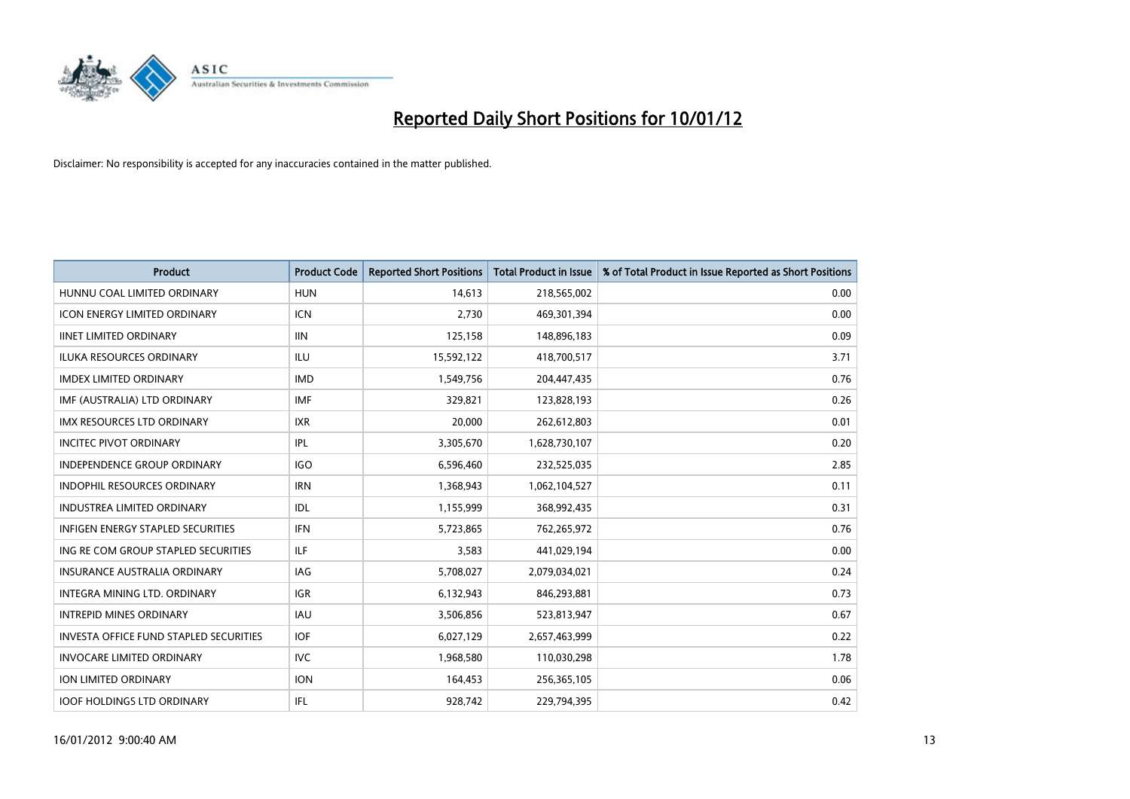

| <b>Product</b>                                | <b>Product Code</b> | <b>Reported Short Positions</b> | <b>Total Product in Issue</b> | % of Total Product in Issue Reported as Short Positions |
|-----------------------------------------------|---------------------|---------------------------------|-------------------------------|---------------------------------------------------------|
| HUNNU COAL LIMITED ORDINARY                   | <b>HUN</b>          | 14,613                          | 218,565,002                   | 0.00                                                    |
| <b>ICON ENERGY LIMITED ORDINARY</b>           | <b>ICN</b>          | 2,730                           | 469,301,394                   | 0.00                                                    |
| <b>IINET LIMITED ORDINARY</b>                 | <b>IIN</b>          | 125,158                         | 148,896,183                   | 0.09                                                    |
| ILUKA RESOURCES ORDINARY                      | ILU                 | 15,592,122                      | 418,700,517                   | 3.71                                                    |
| <b>IMDEX LIMITED ORDINARY</b>                 | <b>IMD</b>          | 1,549,756                       | 204,447,435                   | 0.76                                                    |
| IMF (AUSTRALIA) LTD ORDINARY                  | <b>IMF</b>          | 329,821                         | 123,828,193                   | 0.26                                                    |
| <b>IMX RESOURCES LTD ORDINARY</b>             | <b>IXR</b>          | 20.000                          | 262,612,803                   | 0.01                                                    |
| <b>INCITEC PIVOT ORDINARY</b>                 | <b>IPL</b>          | 3,305,670                       | 1,628,730,107                 | 0.20                                                    |
| INDEPENDENCE GROUP ORDINARY                   | <b>IGO</b>          | 6,596,460                       | 232,525,035                   | 2.85                                                    |
| <b>INDOPHIL RESOURCES ORDINARY</b>            | <b>IRN</b>          | 1,368,943                       | 1,062,104,527                 | 0.11                                                    |
| <b>INDUSTREA LIMITED ORDINARY</b>             | <b>IDL</b>          | 1,155,999                       | 368,992,435                   | 0.31                                                    |
| INFIGEN ENERGY STAPLED SECURITIES             | <b>IFN</b>          | 5,723,865                       | 762,265,972                   | 0.76                                                    |
| ING RE COM GROUP STAPLED SECURITIES           | <b>ILF</b>          | 3,583                           | 441,029,194                   | 0.00                                                    |
| <b>INSURANCE AUSTRALIA ORDINARY</b>           | IAG                 | 5,708,027                       | 2,079,034,021                 | 0.24                                                    |
| INTEGRA MINING LTD, ORDINARY                  | <b>IGR</b>          | 6,132,943                       | 846,293,881                   | 0.73                                                    |
| <b>INTREPID MINES ORDINARY</b>                | <b>IAU</b>          | 3,506,856                       | 523,813,947                   | 0.67                                                    |
| <b>INVESTA OFFICE FUND STAPLED SECURITIES</b> | <b>IOF</b>          | 6,027,129                       | 2,657,463,999                 | 0.22                                                    |
| <b>INVOCARE LIMITED ORDINARY</b>              | <b>IVC</b>          | 1,968,580                       | 110,030,298                   | 1.78                                                    |
| <b>ION LIMITED ORDINARY</b>                   | <b>ION</b>          | 164,453                         | 256,365,105                   | 0.06                                                    |
| <b>IOOF HOLDINGS LTD ORDINARY</b>             | <b>IFL</b>          | 928.742                         | 229.794.395                   | 0.42                                                    |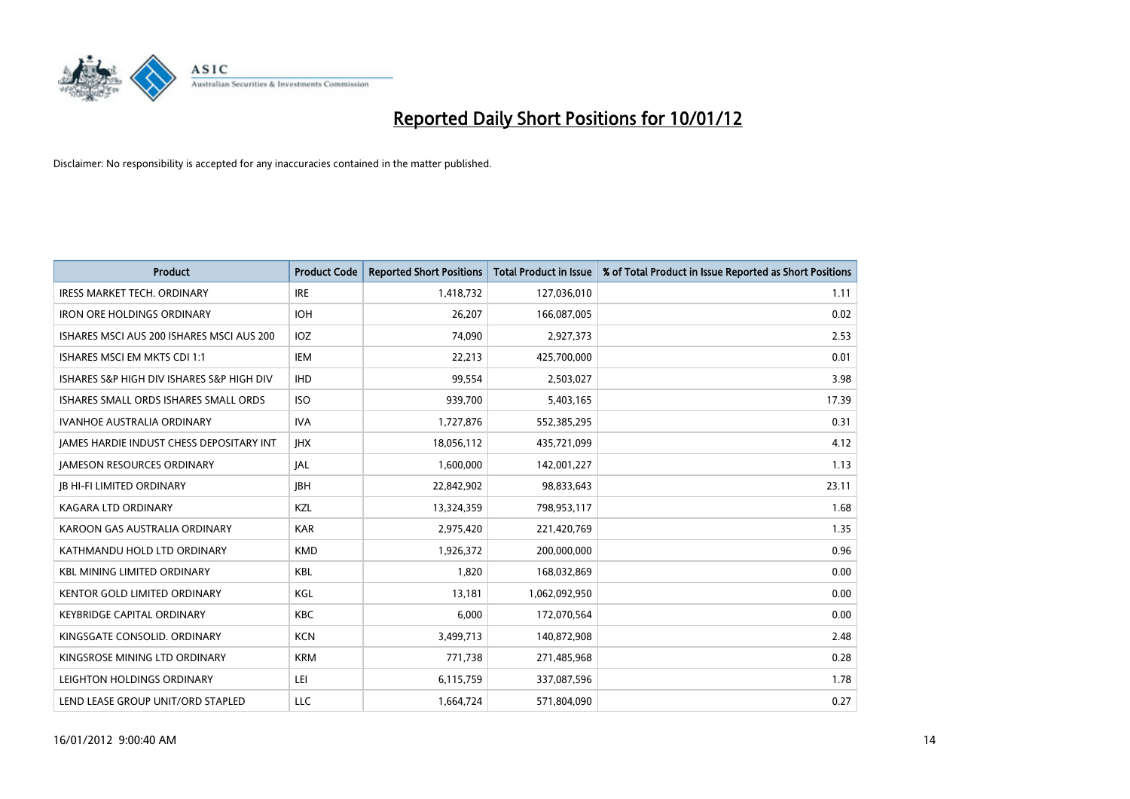

| <b>Product</b>                                  | <b>Product Code</b> | <b>Reported Short Positions</b> | <b>Total Product in Issue</b> | % of Total Product in Issue Reported as Short Positions |
|-------------------------------------------------|---------------------|---------------------------------|-------------------------------|---------------------------------------------------------|
| <b>IRESS MARKET TECH. ORDINARY</b>              | <b>IRE</b>          | 1,418,732                       | 127,036,010                   | 1.11                                                    |
| <b>IRON ORE HOLDINGS ORDINARY</b>               | <b>IOH</b>          | 26,207                          | 166,087,005                   | 0.02                                                    |
| ISHARES MSCI AUS 200 ISHARES MSCI AUS 200       | <b>IOZ</b>          | 74,090                          | 2,927,373                     | 2.53                                                    |
| ISHARES MSCI EM MKTS CDI 1:1                    | <b>IEM</b>          | 22,213                          | 425,700,000                   | 0.01                                                    |
| ISHARES S&P HIGH DIV ISHARES S&P HIGH DIV       | <b>IHD</b>          | 99,554                          | 2,503,027                     | 3.98                                                    |
| ISHARES SMALL ORDS ISHARES SMALL ORDS           | <b>ISO</b>          | 939,700                         | 5,403,165                     | 17.39                                                   |
| <b>IVANHOE AUSTRALIA ORDINARY</b>               | <b>IVA</b>          | 1,727,876                       | 552,385,295                   | 0.31                                                    |
| <b>JAMES HARDIE INDUST CHESS DEPOSITARY INT</b> | <b>IHX</b>          | 18,056,112                      | 435,721,099                   | 4.12                                                    |
| <b>JAMESON RESOURCES ORDINARY</b>               | <b>JAL</b>          | 1,600,000                       | 142,001,227                   | 1.13                                                    |
| <b>JB HI-FI LIMITED ORDINARY</b>                | <b>IBH</b>          | 22,842,902                      | 98,833,643                    | 23.11                                                   |
| KAGARA LTD ORDINARY                             | <b>KZL</b>          | 13,324,359                      | 798,953,117                   | 1.68                                                    |
| KAROON GAS AUSTRALIA ORDINARY                   | <b>KAR</b>          | 2,975,420                       | 221,420,769                   | 1.35                                                    |
| KATHMANDU HOLD LTD ORDINARY                     | <b>KMD</b>          | 1,926,372                       | 200,000,000                   | 0.96                                                    |
| <b>KBL MINING LIMITED ORDINARY</b>              | <b>KBL</b>          | 1,820                           | 168,032,869                   | 0.00                                                    |
| <b>KENTOR GOLD LIMITED ORDINARY</b>             | KGL                 | 13,181                          | 1,062,092,950                 | 0.00                                                    |
| <b>KEYBRIDGE CAPITAL ORDINARY</b>               | <b>KBC</b>          | 6,000                           | 172,070,564                   | 0.00                                                    |
| KINGSGATE CONSOLID. ORDINARY                    | <b>KCN</b>          | 3,499,713                       | 140,872,908                   | 2.48                                                    |
| KINGSROSE MINING LTD ORDINARY                   | <b>KRM</b>          | 771,738                         | 271,485,968                   | 0.28                                                    |
| LEIGHTON HOLDINGS ORDINARY                      | LEI                 | 6,115,759                       | 337,087,596                   | 1.78                                                    |
| LEND LEASE GROUP UNIT/ORD STAPLED               | LLC                 | 1,664,724                       | 571,804,090                   | 0.27                                                    |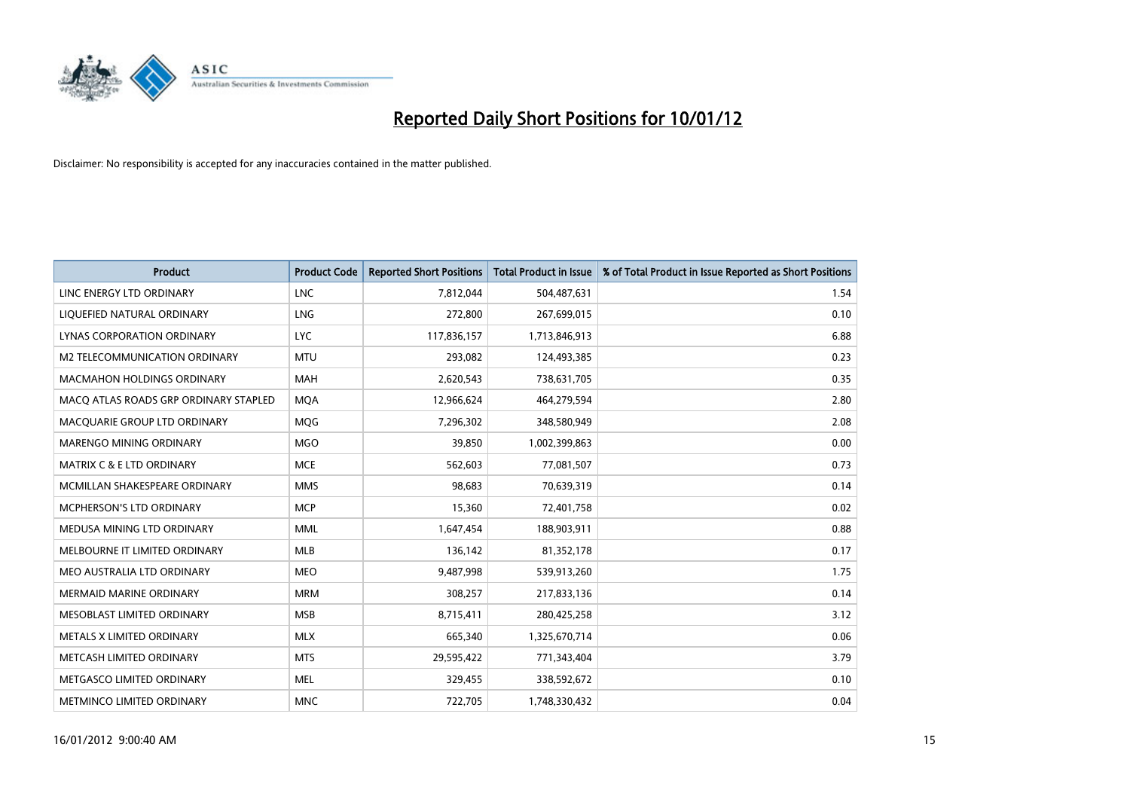

| <b>Product</b>                        | <b>Product Code</b> | <b>Reported Short Positions</b> | <b>Total Product in Issue</b> | % of Total Product in Issue Reported as Short Positions |
|---------------------------------------|---------------------|---------------------------------|-------------------------------|---------------------------------------------------------|
| LINC ENERGY LTD ORDINARY              | <b>LNC</b>          | 7,812,044                       | 504,487,631                   | 1.54                                                    |
| LIQUEFIED NATURAL ORDINARY            | LNG                 | 272,800                         | 267,699,015                   | 0.10                                                    |
| LYNAS CORPORATION ORDINARY            | <b>LYC</b>          | 117,836,157                     | 1,713,846,913                 | 6.88                                                    |
| M2 TELECOMMUNICATION ORDINARY         | <b>MTU</b>          | 293,082                         | 124,493,385                   | 0.23                                                    |
| <b>MACMAHON HOLDINGS ORDINARY</b>     | <b>MAH</b>          | 2,620,543                       | 738,631,705                   | 0.35                                                    |
| MACQ ATLAS ROADS GRP ORDINARY STAPLED | <b>MOA</b>          | 12,966,624                      | 464,279,594                   | 2.80                                                    |
| MACQUARIE GROUP LTD ORDINARY          | <b>MOG</b>          | 7,296,302                       | 348,580,949                   | 2.08                                                    |
| <b>MARENGO MINING ORDINARY</b>        | <b>MGO</b>          | 39,850                          | 1,002,399,863                 | 0.00                                                    |
| <b>MATRIX C &amp; E LTD ORDINARY</b>  | <b>MCE</b>          | 562,603                         | 77,081,507                    | 0.73                                                    |
| MCMILLAN SHAKESPEARE ORDINARY         | <b>MMS</b>          | 98,683                          | 70,639,319                    | 0.14                                                    |
| MCPHERSON'S LTD ORDINARY              | <b>MCP</b>          | 15,360                          | 72,401,758                    | 0.02                                                    |
| MEDUSA MINING LTD ORDINARY            | <b>MML</b>          | 1,647,454                       | 188,903,911                   | 0.88                                                    |
| MELBOURNE IT LIMITED ORDINARY         | <b>MLB</b>          | 136,142                         | 81,352,178                    | 0.17                                                    |
| MEO AUSTRALIA LTD ORDINARY            | <b>MEO</b>          | 9,487,998                       | 539,913,260                   | 1.75                                                    |
| <b>MERMAID MARINE ORDINARY</b>        | <b>MRM</b>          | 308,257                         | 217,833,136                   | 0.14                                                    |
| MESOBLAST LIMITED ORDINARY            | <b>MSB</b>          | 8,715,411                       | 280,425,258                   | 3.12                                                    |
| METALS X LIMITED ORDINARY             | <b>MLX</b>          | 665,340                         | 1,325,670,714                 | 0.06                                                    |
| METCASH LIMITED ORDINARY              | <b>MTS</b>          | 29,595,422                      | 771,343,404                   | 3.79                                                    |
| METGASCO LIMITED ORDINARY             | <b>MEL</b>          | 329,455                         | 338,592,672                   | 0.10                                                    |
| METMINCO LIMITED ORDINARY             | <b>MNC</b>          | 722,705                         | 1,748,330,432                 | 0.04                                                    |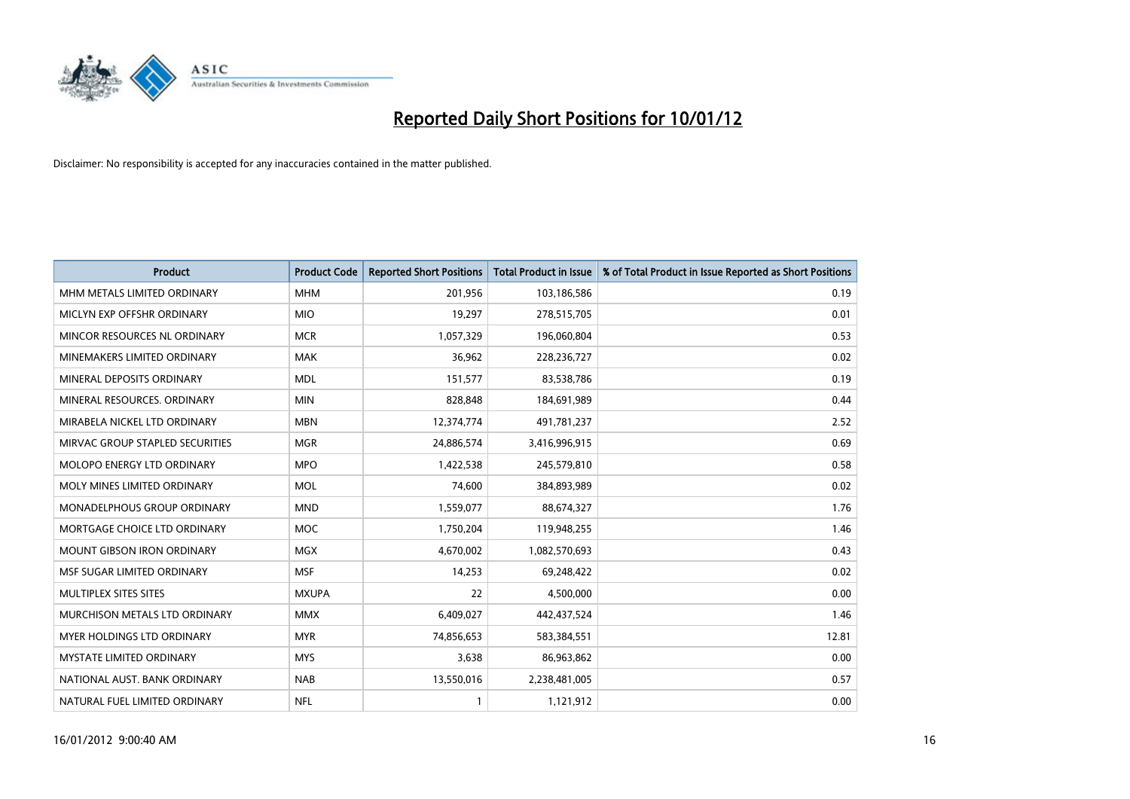

| <b>Product</b>                    | <b>Product Code</b> | <b>Reported Short Positions</b> | <b>Total Product in Issue</b> | % of Total Product in Issue Reported as Short Positions |
|-----------------------------------|---------------------|---------------------------------|-------------------------------|---------------------------------------------------------|
| MHM METALS LIMITED ORDINARY       | <b>MHM</b>          | 201,956                         | 103,186,586                   | 0.19                                                    |
| MICLYN EXP OFFSHR ORDINARY        | <b>MIO</b>          | 19,297                          | 278,515,705                   | 0.01                                                    |
| MINCOR RESOURCES NL ORDINARY      | <b>MCR</b>          | 1,057,329                       | 196,060,804                   | 0.53                                                    |
| MINEMAKERS LIMITED ORDINARY       | <b>MAK</b>          | 36,962                          | 228,236,727                   | 0.02                                                    |
| MINERAL DEPOSITS ORDINARY         | <b>MDL</b>          | 151,577                         | 83,538,786                    | 0.19                                                    |
| MINERAL RESOURCES. ORDINARY       | <b>MIN</b>          | 828,848                         | 184,691,989                   | 0.44                                                    |
| MIRABELA NICKEL LTD ORDINARY      | <b>MBN</b>          | 12,374,774                      | 491,781,237                   | 2.52                                                    |
| MIRVAC GROUP STAPLED SECURITIES   | <b>MGR</b>          | 24,886,574                      | 3,416,996,915                 | 0.69                                                    |
| MOLOPO ENERGY LTD ORDINARY        | <b>MPO</b>          | 1,422,538                       | 245,579,810                   | 0.58                                                    |
| MOLY MINES LIMITED ORDINARY       | <b>MOL</b>          | 74,600                          | 384,893,989                   | 0.02                                                    |
| MONADELPHOUS GROUP ORDINARY       | <b>MND</b>          | 1,559,077                       | 88,674,327                    | 1.76                                                    |
| MORTGAGE CHOICE LTD ORDINARY      | <b>MOC</b>          | 1,750,204                       | 119,948,255                   | 1.46                                                    |
| <b>MOUNT GIBSON IRON ORDINARY</b> | <b>MGX</b>          | 4,670,002                       | 1,082,570,693                 | 0.43                                                    |
| MSF SUGAR LIMITED ORDINARY        | <b>MSF</b>          | 14,253                          | 69,248,422                    | 0.02                                                    |
| MULTIPLEX SITES SITES             | <b>MXUPA</b>        | 22                              | 4,500,000                     | 0.00                                                    |
| MURCHISON METALS LTD ORDINARY     | <b>MMX</b>          | 6,409,027                       | 442,437,524                   | 1.46                                                    |
| <b>MYER HOLDINGS LTD ORDINARY</b> | <b>MYR</b>          | 74,856,653                      | 583,384,551                   | 12.81                                                   |
| MYSTATE LIMITED ORDINARY          | <b>MYS</b>          | 3,638                           | 86,963,862                    | 0.00                                                    |
| NATIONAL AUST. BANK ORDINARY      | <b>NAB</b>          | 13,550,016                      | 2,238,481,005                 | 0.57                                                    |
| NATURAL FUEL LIMITED ORDINARY     | <b>NFL</b>          |                                 | 1,121,912                     | 0.00                                                    |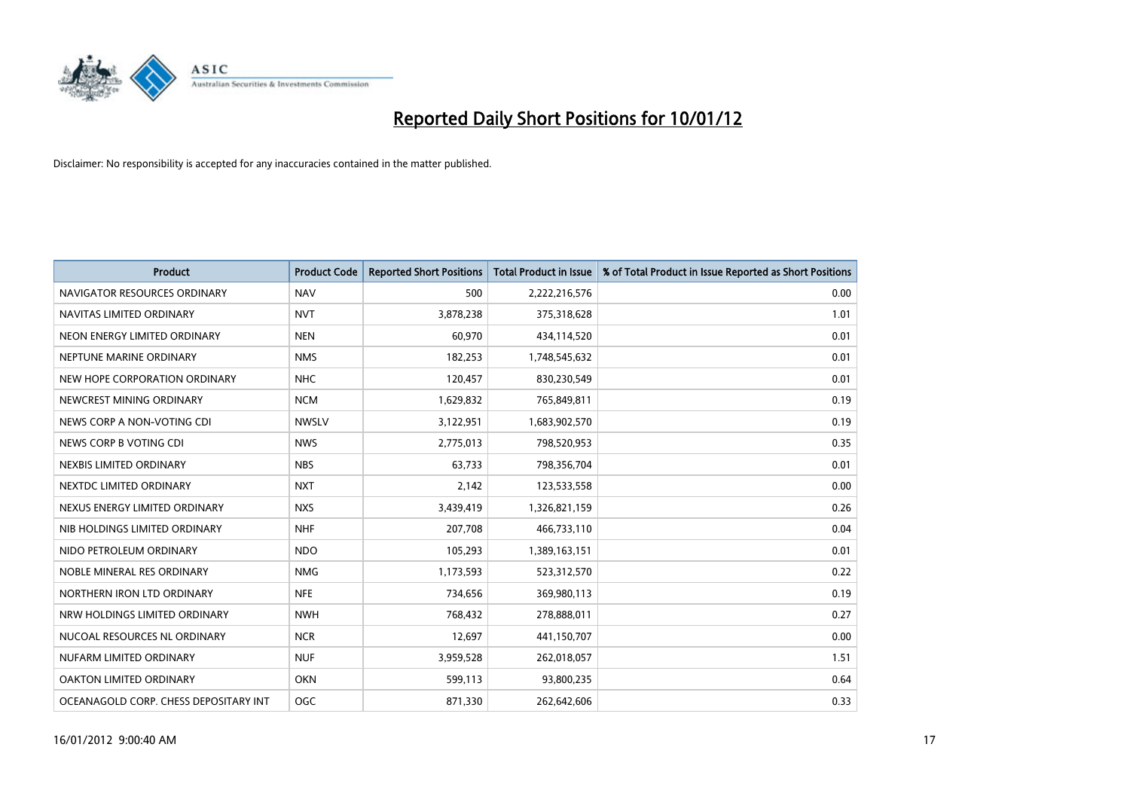

| <b>Product</b>                        | <b>Product Code</b> | <b>Reported Short Positions</b> | <b>Total Product in Issue</b> | % of Total Product in Issue Reported as Short Positions |
|---------------------------------------|---------------------|---------------------------------|-------------------------------|---------------------------------------------------------|
| NAVIGATOR RESOURCES ORDINARY          | <b>NAV</b>          | 500                             | 2,222,216,576                 | 0.00                                                    |
| NAVITAS LIMITED ORDINARY              | <b>NVT</b>          | 3,878,238                       | 375,318,628                   | 1.01                                                    |
| NEON ENERGY LIMITED ORDINARY          | <b>NEN</b>          | 60,970                          | 434,114,520                   | 0.01                                                    |
| NEPTUNE MARINE ORDINARY               | <b>NMS</b>          | 182,253                         | 1,748,545,632                 | 0.01                                                    |
| NEW HOPE CORPORATION ORDINARY         | <b>NHC</b>          | 120,457                         | 830,230,549                   | 0.01                                                    |
| NEWCREST MINING ORDINARY              | <b>NCM</b>          | 1,629,832                       | 765,849,811                   | 0.19                                                    |
| NEWS CORP A NON-VOTING CDI            | <b>NWSLV</b>        | 3,122,951                       | 1,683,902,570                 | 0.19                                                    |
| NEWS CORP B VOTING CDI                | <b>NWS</b>          | 2,775,013                       | 798,520,953                   | 0.35                                                    |
| NEXBIS LIMITED ORDINARY               | <b>NBS</b>          | 63,733                          | 798,356,704                   | 0.01                                                    |
| NEXTDC LIMITED ORDINARY               | <b>NXT</b>          | 2,142                           | 123,533,558                   | 0.00                                                    |
| NEXUS ENERGY LIMITED ORDINARY         | <b>NXS</b>          | 3,439,419                       | 1,326,821,159                 | 0.26                                                    |
| NIB HOLDINGS LIMITED ORDINARY         | <b>NHF</b>          | 207,708                         | 466,733,110                   | 0.04                                                    |
| NIDO PETROLEUM ORDINARY               | <b>NDO</b>          | 105,293                         | 1,389,163,151                 | 0.01                                                    |
| NOBLE MINERAL RES ORDINARY            | <b>NMG</b>          | 1,173,593                       | 523,312,570                   | 0.22                                                    |
| NORTHERN IRON LTD ORDINARY            | <b>NFE</b>          | 734,656                         | 369,980,113                   | 0.19                                                    |
| NRW HOLDINGS LIMITED ORDINARY         | <b>NWH</b>          | 768,432                         | 278,888,011                   | 0.27                                                    |
| NUCOAL RESOURCES NL ORDINARY          | <b>NCR</b>          | 12,697                          | 441,150,707                   | 0.00                                                    |
| NUFARM LIMITED ORDINARY               | <b>NUF</b>          | 3,959,528                       | 262,018,057                   | 1.51                                                    |
| OAKTON LIMITED ORDINARY               | <b>OKN</b>          | 599,113                         | 93,800,235                    | 0.64                                                    |
| OCEANAGOLD CORP. CHESS DEPOSITARY INT | <b>OGC</b>          | 871,330                         | 262,642,606                   | 0.33                                                    |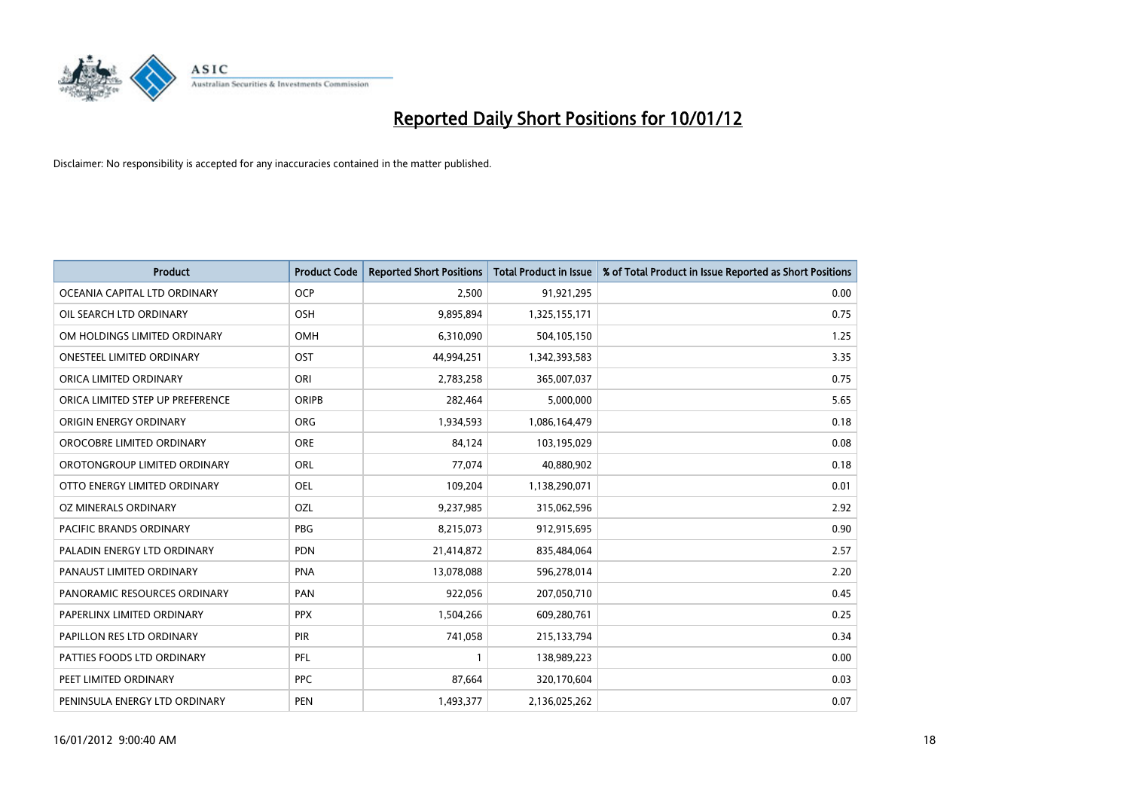

| <b>Product</b>                   | <b>Product Code</b> | <b>Reported Short Positions</b> | <b>Total Product in Issue</b> | % of Total Product in Issue Reported as Short Positions |
|----------------------------------|---------------------|---------------------------------|-------------------------------|---------------------------------------------------------|
| OCEANIA CAPITAL LTD ORDINARY     | <b>OCP</b>          | 2,500                           | 91,921,295                    | 0.00                                                    |
| OIL SEARCH LTD ORDINARY          | OSH                 | 9,895,894                       | 1,325,155,171                 | 0.75                                                    |
| OM HOLDINGS LIMITED ORDINARY     | OMH                 | 6,310,090                       | 504,105,150                   | 1.25                                                    |
| ONESTEEL LIMITED ORDINARY        | OST                 | 44,994,251                      | 1,342,393,583                 | 3.35                                                    |
| ORICA LIMITED ORDINARY           | ORI                 | 2,783,258                       | 365,007,037                   | 0.75                                                    |
| ORICA LIMITED STEP UP PREFERENCE | <b>ORIPB</b>        | 282,464                         | 5,000,000                     | 5.65                                                    |
| ORIGIN ENERGY ORDINARY           | <b>ORG</b>          | 1,934,593                       | 1,086,164,479                 | 0.18                                                    |
| OROCOBRE LIMITED ORDINARY        | <b>ORE</b>          | 84,124                          | 103,195,029                   | 0.08                                                    |
| OROTONGROUP LIMITED ORDINARY     | <b>ORL</b>          | 77,074                          | 40,880,902                    | 0.18                                                    |
| OTTO ENERGY LIMITED ORDINARY     | <b>OEL</b>          | 109,204                         | 1,138,290,071                 | 0.01                                                    |
| OZ MINERALS ORDINARY             | OZL                 | 9,237,985                       | 315,062,596                   | 2.92                                                    |
| PACIFIC BRANDS ORDINARY          | <b>PBG</b>          | 8,215,073                       | 912,915,695                   | 0.90                                                    |
| PALADIN ENERGY LTD ORDINARY      | <b>PDN</b>          | 21,414,872                      | 835,484,064                   | 2.57                                                    |
| PANAUST LIMITED ORDINARY         | <b>PNA</b>          | 13,078,088                      | 596,278,014                   | 2.20                                                    |
| PANORAMIC RESOURCES ORDINARY     | PAN                 | 922,056                         | 207,050,710                   | 0.45                                                    |
| PAPERLINX LIMITED ORDINARY       | <b>PPX</b>          | 1,504,266                       | 609,280,761                   | 0.25                                                    |
| PAPILLON RES LTD ORDINARY        | PIR                 | 741,058                         | 215,133,794                   | 0.34                                                    |
| PATTIES FOODS LTD ORDINARY       | PFL                 |                                 | 138,989,223                   | 0.00                                                    |
| PEET LIMITED ORDINARY            | <b>PPC</b>          | 87,664                          | 320,170,604                   | 0.03                                                    |
| PENINSULA ENERGY LTD ORDINARY    | <b>PEN</b>          | 1,493,377                       | 2,136,025,262                 | 0.07                                                    |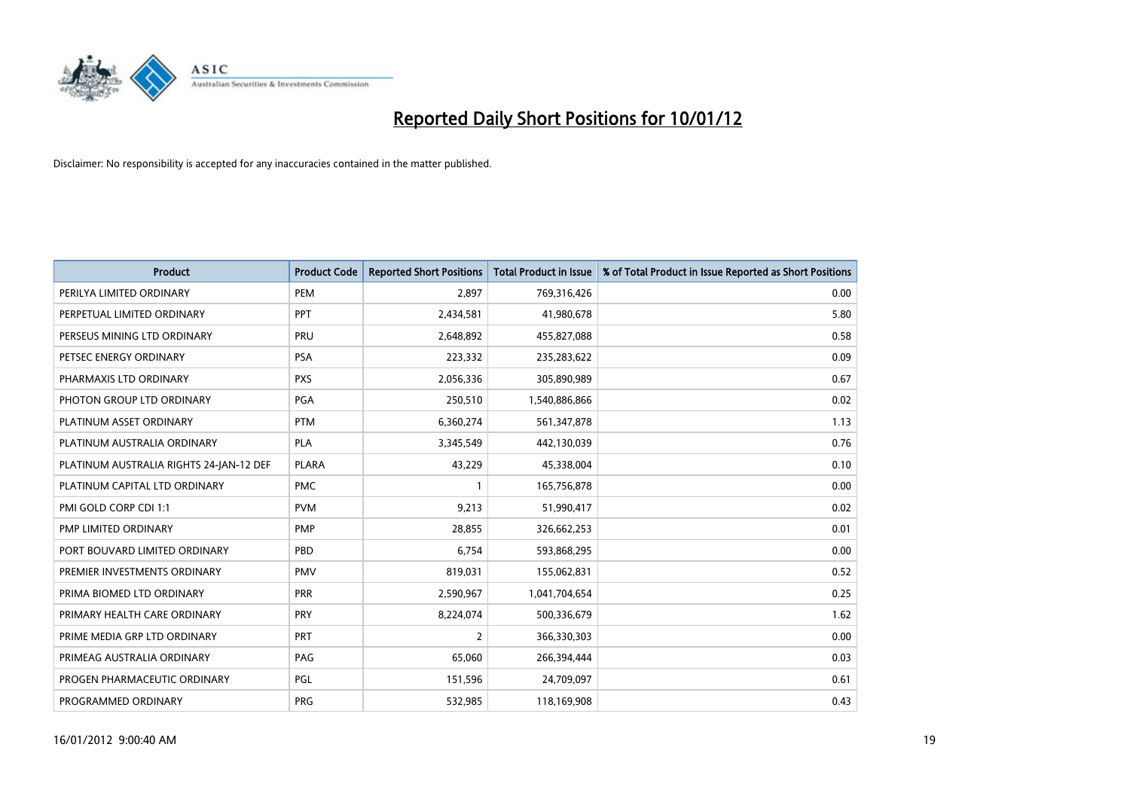

| <b>Product</b>                          | <b>Product Code</b> | <b>Reported Short Positions</b> | <b>Total Product in Issue</b> | % of Total Product in Issue Reported as Short Positions |
|-----------------------------------------|---------------------|---------------------------------|-------------------------------|---------------------------------------------------------|
| PERILYA LIMITED ORDINARY                | PEM                 | 2,897                           | 769,316,426                   | 0.00                                                    |
| PERPETUAL LIMITED ORDINARY              | <b>PPT</b>          | 2,434,581                       | 41,980,678                    | 5.80                                                    |
| PERSEUS MINING LTD ORDINARY             | PRU                 | 2,648,892                       | 455,827,088                   | 0.58                                                    |
| PETSEC ENERGY ORDINARY                  | <b>PSA</b>          | 223,332                         | 235,283,622                   | 0.09                                                    |
| PHARMAXIS LTD ORDINARY                  | <b>PXS</b>          | 2,056,336                       | 305,890,989                   | 0.67                                                    |
| PHOTON GROUP LTD ORDINARY               | <b>PGA</b>          | 250,510                         | 1,540,886,866                 | 0.02                                                    |
| PLATINUM ASSET ORDINARY                 | <b>PTM</b>          | 6,360,274                       | 561,347,878                   | 1.13                                                    |
| PLATINUM AUSTRALIA ORDINARY             | <b>PLA</b>          | 3,345,549                       | 442,130,039                   | 0.76                                                    |
| PLATINUM AUSTRALIA RIGHTS 24-JAN-12 DEF | <b>PLARA</b>        | 43,229                          | 45,338,004                    | 0.10                                                    |
| PLATINUM CAPITAL LTD ORDINARY           | <b>PMC</b>          |                                 | 165,756,878                   | 0.00                                                    |
| PMI GOLD CORP CDI 1:1                   | <b>PVM</b>          | 9,213                           | 51,990,417                    | 0.02                                                    |
| PMP LIMITED ORDINARY                    | <b>PMP</b>          | 28,855                          | 326,662,253                   | 0.01                                                    |
| PORT BOUVARD LIMITED ORDINARY           | PBD                 | 6,754                           | 593,868,295                   | 0.00                                                    |
| PREMIER INVESTMENTS ORDINARY            | <b>PMV</b>          | 819,031                         | 155,062,831                   | 0.52                                                    |
| PRIMA BIOMED LTD ORDINARY               | <b>PRR</b>          | 2,590,967                       | 1,041,704,654                 | 0.25                                                    |
| PRIMARY HEALTH CARE ORDINARY            | <b>PRY</b>          | 8,224,074                       | 500,336,679                   | 1.62                                                    |
| PRIME MEDIA GRP LTD ORDINARY            | PRT                 | 2                               | 366,330,303                   | 0.00                                                    |
| PRIMEAG AUSTRALIA ORDINARY              | PAG                 | 65,060                          | 266,394,444                   | 0.03                                                    |
| PROGEN PHARMACEUTIC ORDINARY            | PGL                 | 151,596                         | 24,709,097                    | 0.61                                                    |
| PROGRAMMED ORDINARY                     | <b>PRG</b>          | 532,985                         | 118,169,908                   | 0.43                                                    |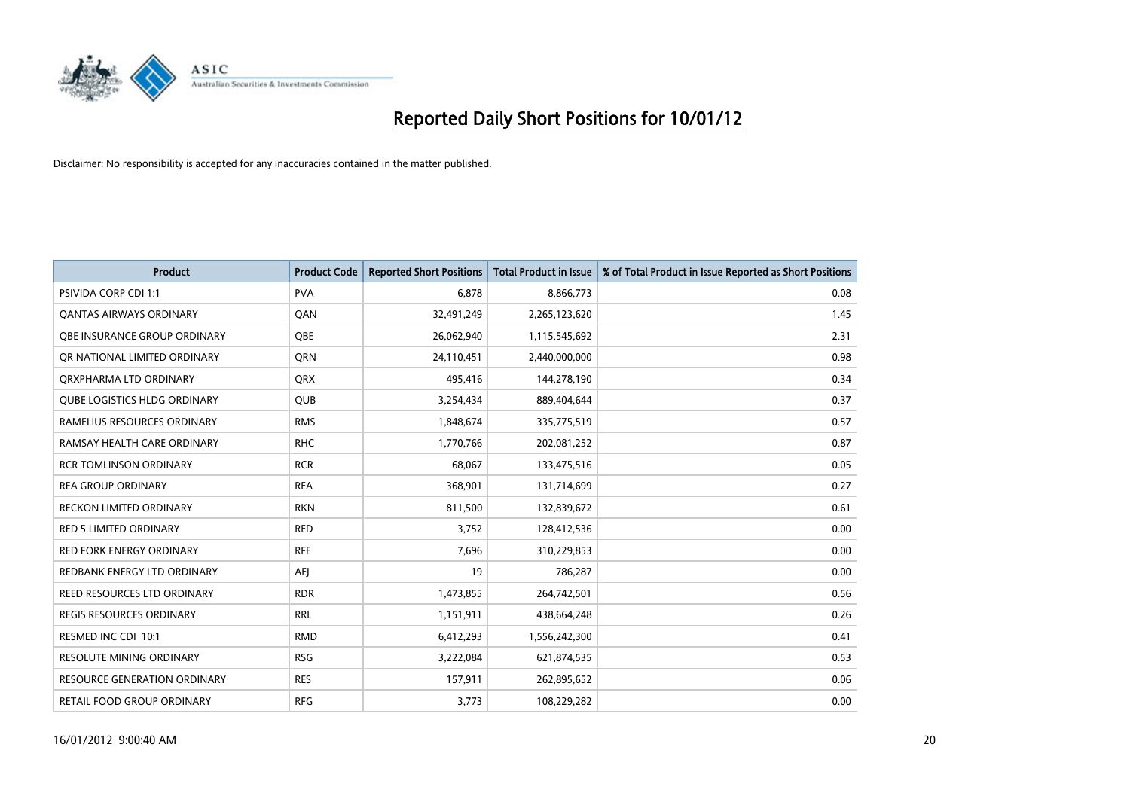

| <b>Product</b>                      | <b>Product Code</b> | <b>Reported Short Positions</b> | <b>Total Product in Issue</b> | % of Total Product in Issue Reported as Short Positions |
|-------------------------------------|---------------------|---------------------------------|-------------------------------|---------------------------------------------------------|
| PSIVIDA CORP CDI 1:1                | <b>PVA</b>          | 6,878                           | 8,866,773                     | 0.08                                                    |
| <b>QANTAS AIRWAYS ORDINARY</b>      | QAN                 | 32,491,249                      | 2,265,123,620                 | 1.45                                                    |
| OBE INSURANCE GROUP ORDINARY        | OBE                 | 26,062,940                      | 1,115,545,692                 | 2.31                                                    |
| OR NATIONAL LIMITED ORDINARY        | <b>ORN</b>          | 24,110,451                      | 2,440,000,000                 | 0.98                                                    |
| ORXPHARMA LTD ORDINARY              | <b>ORX</b>          | 495,416                         | 144,278,190                   | 0.34                                                    |
| <b>QUBE LOGISTICS HLDG ORDINARY</b> | <b>QUB</b>          | 3,254,434                       | 889,404,644                   | 0.37                                                    |
| RAMELIUS RESOURCES ORDINARY         | <b>RMS</b>          | 1,848,674                       | 335,775,519                   | 0.57                                                    |
| RAMSAY HEALTH CARE ORDINARY         | <b>RHC</b>          | 1,770,766                       | 202,081,252                   | 0.87                                                    |
| <b>RCR TOMLINSON ORDINARY</b>       | <b>RCR</b>          | 68.067                          | 133,475,516                   | 0.05                                                    |
| <b>REA GROUP ORDINARY</b>           | <b>REA</b>          | 368,901                         | 131,714,699                   | 0.27                                                    |
| RECKON LIMITED ORDINARY             | <b>RKN</b>          | 811,500                         | 132,839,672                   | 0.61                                                    |
| <b>RED 5 LIMITED ORDINARY</b>       | <b>RED</b>          | 3,752                           | 128,412,536                   | 0.00                                                    |
| <b>RED FORK ENERGY ORDINARY</b>     | <b>RFE</b>          | 7,696                           | 310,229,853                   | 0.00                                                    |
| REDBANK ENERGY LTD ORDINARY         | AEJ                 | 19                              | 786,287                       | 0.00                                                    |
| REED RESOURCES LTD ORDINARY         | <b>RDR</b>          | 1,473,855                       | 264,742,501                   | 0.56                                                    |
| <b>REGIS RESOURCES ORDINARY</b>     | <b>RRL</b>          | 1,151,911                       | 438,664,248                   | 0.26                                                    |
| RESMED INC CDI 10:1                 | <b>RMD</b>          | 6,412,293                       | 1,556,242,300                 | 0.41                                                    |
| RESOLUTE MINING ORDINARY            | <b>RSG</b>          | 3,222,084                       | 621,874,535                   | 0.53                                                    |
| <b>RESOURCE GENERATION ORDINARY</b> | <b>RES</b>          | 157,911                         | 262,895,652                   | 0.06                                                    |
| RETAIL FOOD GROUP ORDINARY          | <b>RFG</b>          | 3,773                           | 108,229,282                   | 0.00                                                    |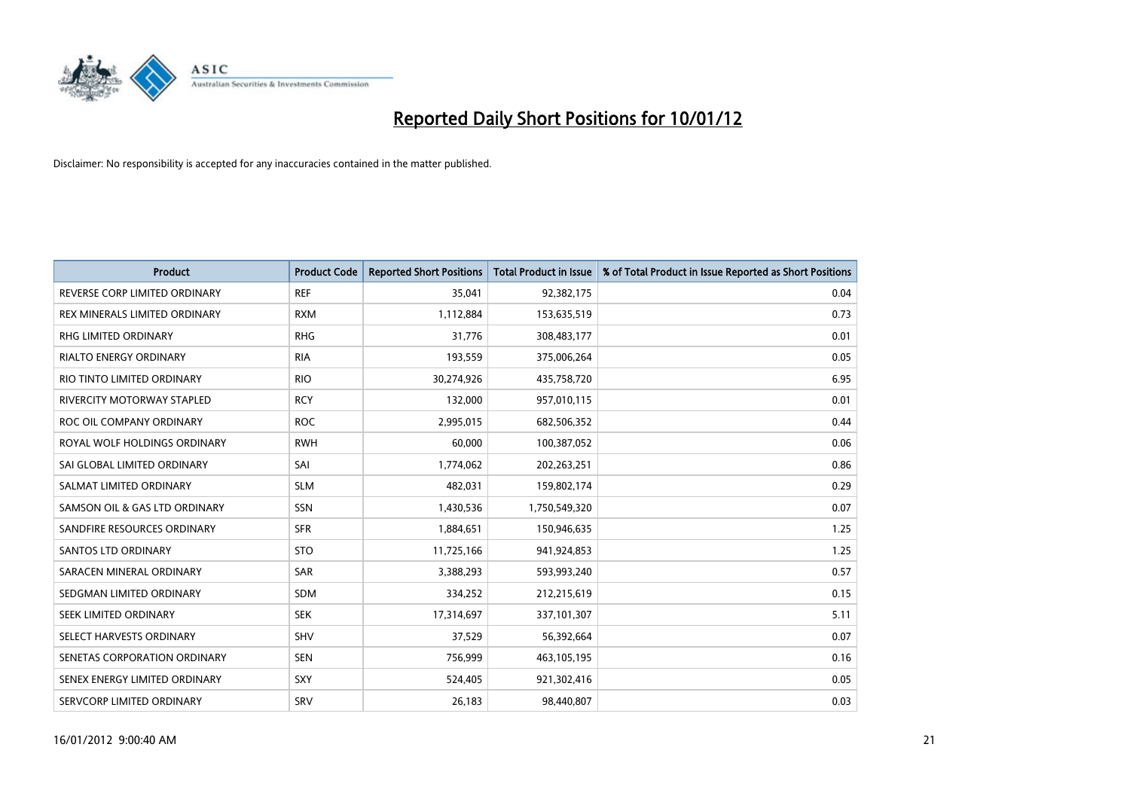

| <b>Product</b>                | <b>Product Code</b> | <b>Reported Short Positions</b> | <b>Total Product in Issue</b> | % of Total Product in Issue Reported as Short Positions |
|-------------------------------|---------------------|---------------------------------|-------------------------------|---------------------------------------------------------|
| REVERSE CORP LIMITED ORDINARY | <b>REF</b>          | 35,041                          | 92,382,175                    | 0.04                                                    |
| REX MINERALS LIMITED ORDINARY | <b>RXM</b>          | 1,112,884                       | 153,635,519                   | 0.73                                                    |
| RHG LIMITED ORDINARY          | <b>RHG</b>          | 31,776                          | 308,483,177                   | 0.01                                                    |
| <b>RIALTO ENERGY ORDINARY</b> | <b>RIA</b>          | 193,559                         | 375,006,264                   | 0.05                                                    |
| RIO TINTO LIMITED ORDINARY    | <b>RIO</b>          | 30,274,926                      | 435,758,720                   | 6.95                                                    |
| RIVERCITY MOTORWAY STAPLED    | <b>RCY</b>          | 132,000                         | 957,010,115                   | 0.01                                                    |
| ROC OIL COMPANY ORDINARY      | <b>ROC</b>          | 2,995,015                       | 682,506,352                   | 0.44                                                    |
| ROYAL WOLF HOLDINGS ORDINARY  | <b>RWH</b>          | 60.000                          | 100,387,052                   | 0.06                                                    |
| SAI GLOBAL LIMITED ORDINARY   | SAI                 | 1,774,062                       | 202,263,251                   | 0.86                                                    |
| SALMAT LIMITED ORDINARY       | <b>SLM</b>          | 482,031                         | 159,802,174                   | 0.29                                                    |
| SAMSON OIL & GAS LTD ORDINARY | <b>SSN</b>          | 1,430,536                       | 1,750,549,320                 | 0.07                                                    |
| SANDFIRE RESOURCES ORDINARY   | <b>SFR</b>          | 1,884,651                       | 150,946,635                   | 1.25                                                    |
| <b>SANTOS LTD ORDINARY</b>    | <b>STO</b>          | 11,725,166                      | 941,924,853                   | 1.25                                                    |
| SARACEN MINERAL ORDINARY      | <b>SAR</b>          | 3,388,293                       | 593,993,240                   | 0.57                                                    |
| SEDGMAN LIMITED ORDINARY      | <b>SDM</b>          | 334,252                         | 212,215,619                   | 0.15                                                    |
| SEEK LIMITED ORDINARY         | <b>SEK</b>          | 17,314,697                      | 337,101,307                   | 5.11                                                    |
| SELECT HARVESTS ORDINARY      | <b>SHV</b>          | 37,529                          | 56,392,664                    | 0.07                                                    |
| SENETAS CORPORATION ORDINARY  | <b>SEN</b>          | 756,999                         | 463,105,195                   | 0.16                                                    |
| SENEX ENERGY LIMITED ORDINARY | <b>SXY</b>          | 524,405                         | 921,302,416                   | 0.05                                                    |
| SERVCORP LIMITED ORDINARY     | SRV                 | 26,183                          | 98,440,807                    | 0.03                                                    |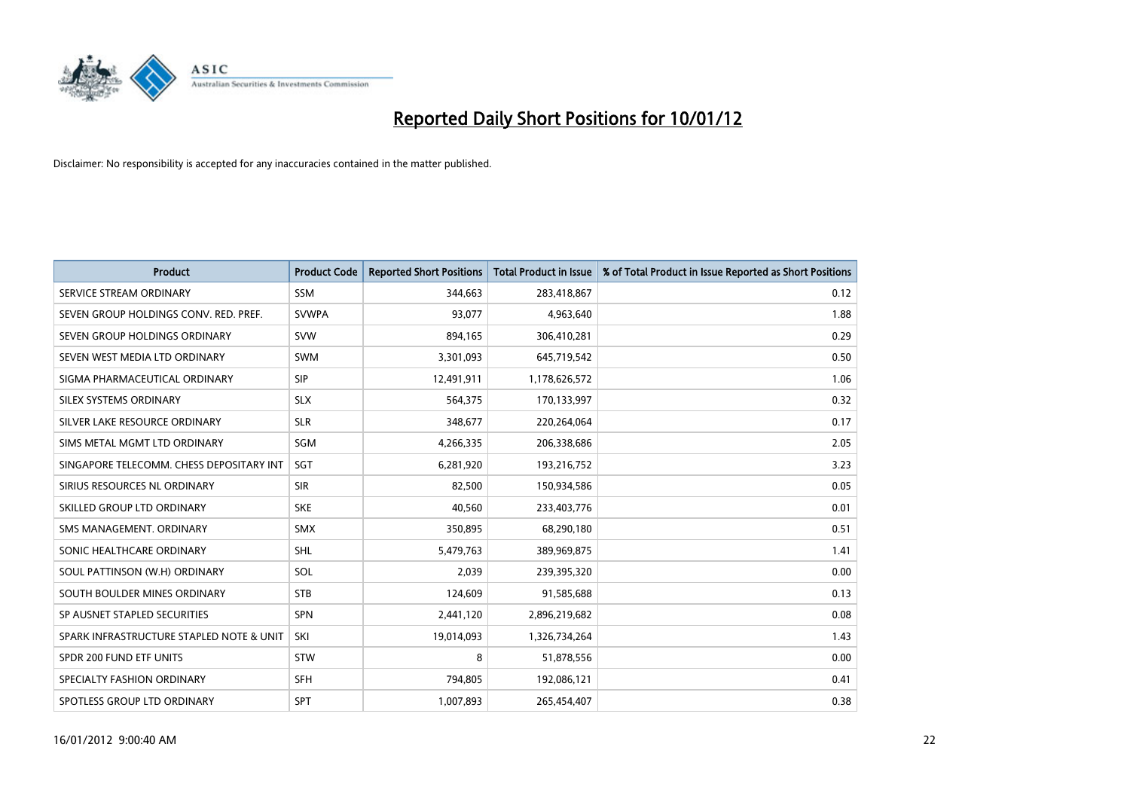

| <b>Product</b>                           | <b>Product Code</b> | <b>Reported Short Positions</b> | <b>Total Product in Issue</b> | % of Total Product in Issue Reported as Short Positions |
|------------------------------------------|---------------------|---------------------------------|-------------------------------|---------------------------------------------------------|
| SERVICE STREAM ORDINARY                  | <b>SSM</b>          | 344,663                         | 283,418,867                   | 0.12                                                    |
| SEVEN GROUP HOLDINGS CONV. RED. PREF.    | <b>SVWPA</b>        | 93,077                          | 4,963,640                     | 1.88                                                    |
| SEVEN GROUP HOLDINGS ORDINARY            | <b>SVW</b>          | 894,165                         | 306,410,281                   | 0.29                                                    |
| SEVEN WEST MEDIA LTD ORDINARY            | <b>SWM</b>          | 3,301,093                       | 645,719,542                   | 0.50                                                    |
| SIGMA PHARMACEUTICAL ORDINARY            | <b>SIP</b>          | 12,491,911                      | 1,178,626,572                 | 1.06                                                    |
| SILEX SYSTEMS ORDINARY                   | <b>SLX</b>          | 564,375                         | 170,133,997                   | 0.32                                                    |
| SILVER LAKE RESOURCE ORDINARY            | <b>SLR</b>          | 348,677                         | 220,264,064                   | 0.17                                                    |
| SIMS METAL MGMT LTD ORDINARY             | SGM                 | 4,266,335                       | 206,338,686                   | 2.05                                                    |
| SINGAPORE TELECOMM. CHESS DEPOSITARY INT | <b>SGT</b>          | 6,281,920                       | 193,216,752                   | 3.23                                                    |
| SIRIUS RESOURCES NL ORDINARY             | <b>SIR</b>          | 82,500                          | 150,934,586                   | 0.05                                                    |
| SKILLED GROUP LTD ORDINARY               | <b>SKE</b>          | 40,560                          | 233,403,776                   | 0.01                                                    |
| SMS MANAGEMENT, ORDINARY                 | <b>SMX</b>          | 350,895                         | 68,290,180                    | 0.51                                                    |
| SONIC HEALTHCARE ORDINARY                | <b>SHL</b>          | 5,479,763                       | 389,969,875                   | 1.41                                                    |
| SOUL PATTINSON (W.H) ORDINARY            | SOL                 | 2,039                           | 239,395,320                   | 0.00                                                    |
| SOUTH BOULDER MINES ORDINARY             | <b>STB</b>          | 124,609                         | 91,585,688                    | 0.13                                                    |
| SP AUSNET STAPLED SECURITIES             | <b>SPN</b>          | 2,441,120                       | 2,896,219,682                 | 0.08                                                    |
| SPARK INFRASTRUCTURE STAPLED NOTE & UNIT | SKI                 | 19,014,093                      | 1,326,734,264                 | 1.43                                                    |
| SPDR 200 FUND ETF UNITS                  | <b>STW</b>          | 8                               | 51,878,556                    | 0.00                                                    |
| SPECIALTY FASHION ORDINARY               | <b>SFH</b>          | 794,805                         | 192,086,121                   | 0.41                                                    |
| SPOTLESS GROUP LTD ORDINARY              | <b>SPT</b>          | 1,007,893                       | 265,454,407                   | 0.38                                                    |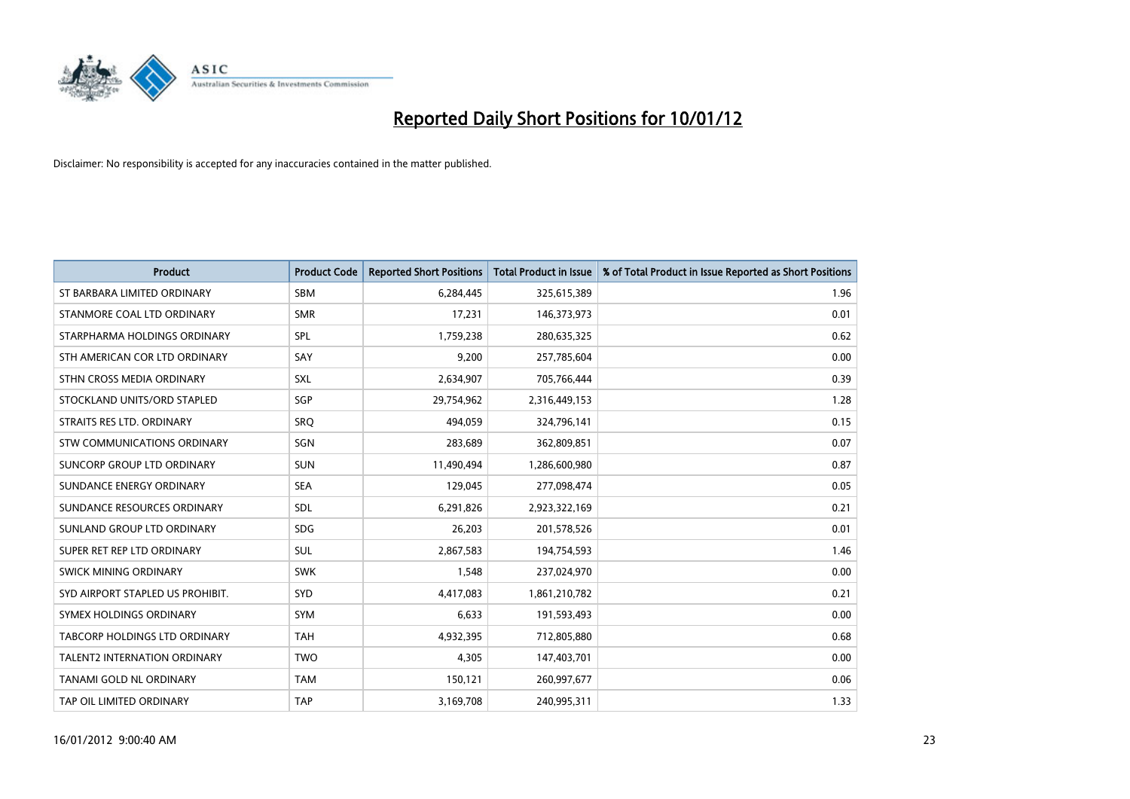

| <b>Product</b>                   | <b>Product Code</b> | <b>Reported Short Positions</b> | <b>Total Product in Issue</b> | % of Total Product in Issue Reported as Short Positions |
|----------------------------------|---------------------|---------------------------------|-------------------------------|---------------------------------------------------------|
| ST BARBARA LIMITED ORDINARY      | <b>SBM</b>          | 6,284,445                       | 325,615,389                   | 1.96                                                    |
| STANMORE COAL LTD ORDINARY       | <b>SMR</b>          | 17,231                          | 146,373,973                   | 0.01                                                    |
| STARPHARMA HOLDINGS ORDINARY     | SPL                 | 1,759,238                       | 280,635,325                   | 0.62                                                    |
| STH AMERICAN COR LTD ORDINARY    | SAY                 | 9,200                           | 257,785,604                   | 0.00                                                    |
| STHN CROSS MEDIA ORDINARY        | <b>SXL</b>          | 2,634,907                       | 705,766,444                   | 0.39                                                    |
| STOCKLAND UNITS/ORD STAPLED      | SGP                 | 29,754,962                      | 2,316,449,153                 | 1.28                                                    |
| STRAITS RES LTD. ORDINARY        | <b>SRO</b>          | 494,059                         | 324,796,141                   | 0.15                                                    |
| STW COMMUNICATIONS ORDINARY      | SGN                 | 283,689                         | 362,809,851                   | 0.07                                                    |
| SUNCORP GROUP LTD ORDINARY       | <b>SUN</b>          | 11,490,494                      | 1,286,600,980                 | 0.87                                                    |
| SUNDANCE ENERGY ORDINARY         | <b>SEA</b>          | 129,045                         | 277,098,474                   | 0.05                                                    |
| SUNDANCE RESOURCES ORDINARY      | <b>SDL</b>          | 6,291,826                       | 2,923,322,169                 | 0.21                                                    |
| SUNLAND GROUP LTD ORDINARY       | <b>SDG</b>          | 26,203                          | 201,578,526                   | 0.01                                                    |
| SUPER RET REP LTD ORDINARY       | <b>SUL</b>          | 2,867,583                       | 194,754,593                   | 1.46                                                    |
| SWICK MINING ORDINARY            | <b>SWK</b>          | 1,548                           | 237,024,970                   | 0.00                                                    |
| SYD AIRPORT STAPLED US PROHIBIT. | <b>SYD</b>          | 4,417,083                       | 1,861,210,782                 | 0.21                                                    |
| SYMEX HOLDINGS ORDINARY          | <b>SYM</b>          | 6,633                           | 191,593,493                   | 0.00                                                    |
| TABCORP HOLDINGS LTD ORDINARY    | <b>TAH</b>          | 4,932,395                       | 712,805,880                   | 0.68                                                    |
| TALENT2 INTERNATION ORDINARY     | <b>TWO</b>          | 4,305                           | 147,403,701                   | 0.00                                                    |
| TANAMI GOLD NL ORDINARY          | <b>TAM</b>          | 150,121                         | 260,997,677                   | 0.06                                                    |
| TAP OIL LIMITED ORDINARY         | <b>TAP</b>          | 3,169,708                       | 240,995,311                   | 1.33                                                    |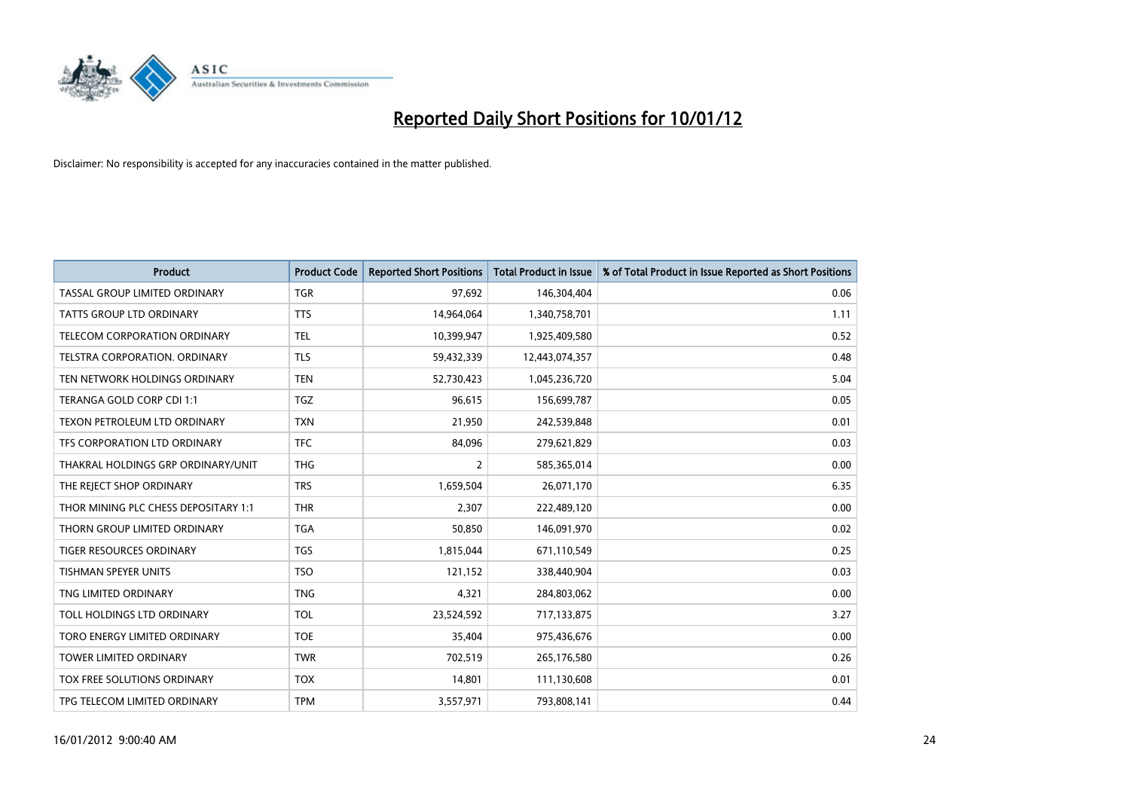

| <b>Product</b>                       | <b>Product Code</b> | <b>Reported Short Positions</b> | <b>Total Product in Issue</b> | % of Total Product in Issue Reported as Short Positions |
|--------------------------------------|---------------------|---------------------------------|-------------------------------|---------------------------------------------------------|
| TASSAL GROUP LIMITED ORDINARY        | <b>TGR</b>          | 97,692                          | 146,304,404                   | 0.06                                                    |
| TATTS GROUP LTD ORDINARY             | <b>TTS</b>          | 14,964,064                      | 1,340,758,701                 | 1.11                                                    |
| TELECOM CORPORATION ORDINARY         | <b>TEL</b>          | 10,399,947                      | 1,925,409,580                 | 0.52                                                    |
| TELSTRA CORPORATION. ORDINARY        | <b>TLS</b>          | 59,432,339                      | 12,443,074,357                | 0.48                                                    |
| TEN NETWORK HOLDINGS ORDINARY        | <b>TEN</b>          | 52,730,423                      | 1,045,236,720                 | 5.04                                                    |
| TERANGA GOLD CORP CDI 1:1            | <b>TGZ</b>          | 96,615                          | 156,699,787                   | 0.05                                                    |
| TEXON PETROLEUM LTD ORDINARY         | <b>TXN</b>          | 21,950                          | 242,539,848                   | 0.01                                                    |
| TFS CORPORATION LTD ORDINARY         | <b>TFC</b>          | 84,096                          | 279,621,829                   | 0.03                                                    |
| THAKRAL HOLDINGS GRP ORDINARY/UNIT   | <b>THG</b>          | $\overline{2}$                  | 585,365,014                   | 0.00                                                    |
| THE REJECT SHOP ORDINARY             | <b>TRS</b>          | 1,659,504                       | 26,071,170                    | 6.35                                                    |
| THOR MINING PLC CHESS DEPOSITARY 1:1 | <b>THR</b>          | 2,307                           | 222,489,120                   | 0.00                                                    |
| THORN GROUP LIMITED ORDINARY         | <b>TGA</b>          | 50,850                          | 146,091,970                   | 0.02                                                    |
| <b>TIGER RESOURCES ORDINARY</b>      | <b>TGS</b>          | 1,815,044                       | 671,110,549                   | 0.25                                                    |
| <b>TISHMAN SPEYER UNITS</b>          | <b>TSO</b>          | 121,152                         | 338,440,904                   | 0.03                                                    |
| TNG LIMITED ORDINARY                 | <b>TNG</b>          | 4,321                           | 284,803,062                   | 0.00                                                    |
| TOLL HOLDINGS LTD ORDINARY           | <b>TOL</b>          | 23,524,592                      | 717,133,875                   | 3.27                                                    |
| TORO ENERGY LIMITED ORDINARY         | <b>TOE</b>          | 35,404                          | 975,436,676                   | 0.00                                                    |
| TOWER LIMITED ORDINARY               | <b>TWR</b>          | 702,519                         | 265,176,580                   | 0.26                                                    |
| TOX FREE SOLUTIONS ORDINARY          | <b>TOX</b>          | 14,801                          | 111,130,608                   | 0.01                                                    |
| TPG TELECOM LIMITED ORDINARY         | <b>TPM</b>          | 3,557,971                       | 793,808,141                   | 0.44                                                    |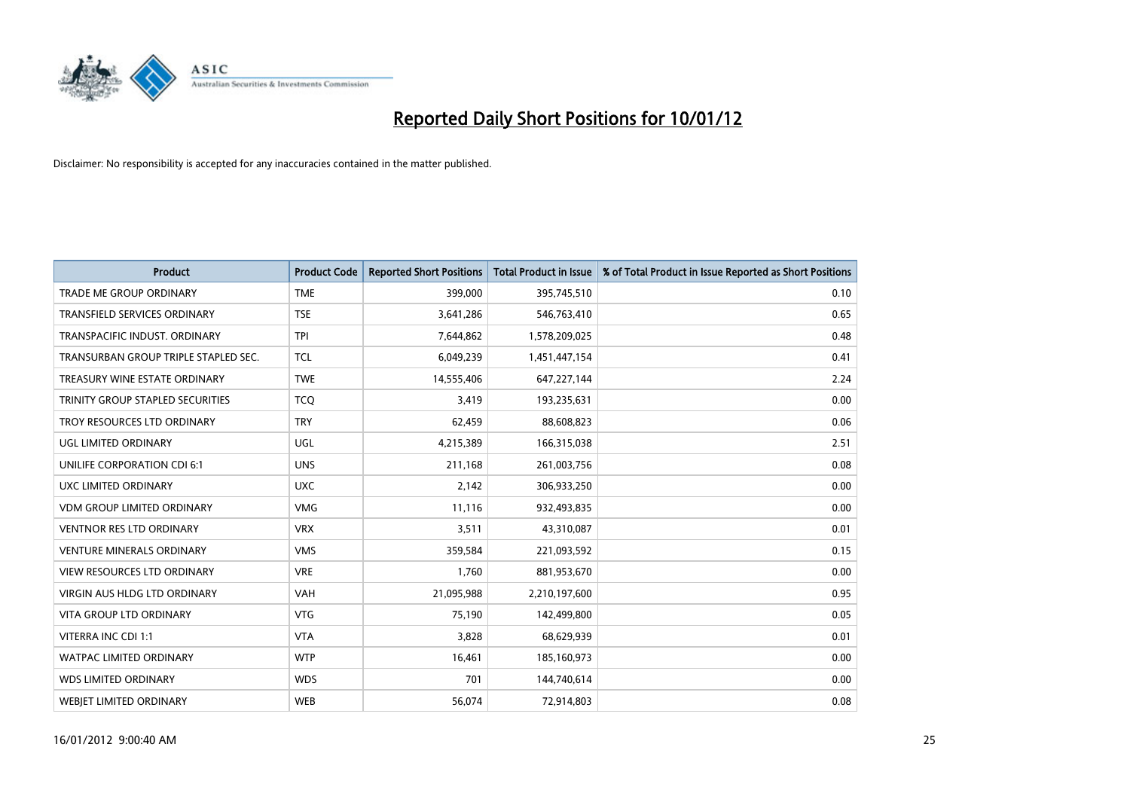

| <b>Product</b>                       | <b>Product Code</b> | <b>Reported Short Positions</b> | <b>Total Product in Issue</b> | % of Total Product in Issue Reported as Short Positions |
|--------------------------------------|---------------------|---------------------------------|-------------------------------|---------------------------------------------------------|
| <b>TRADE ME GROUP ORDINARY</b>       | <b>TME</b>          | 399,000                         | 395,745,510                   | 0.10                                                    |
| TRANSFIELD SERVICES ORDINARY         | <b>TSE</b>          | 3,641,286                       | 546,763,410                   | 0.65                                                    |
| TRANSPACIFIC INDUST, ORDINARY        | <b>TPI</b>          | 7,644,862                       | 1,578,209,025                 | 0.48                                                    |
| TRANSURBAN GROUP TRIPLE STAPLED SEC. | <b>TCL</b>          | 6,049,239                       | 1,451,447,154                 | 0.41                                                    |
| TREASURY WINE ESTATE ORDINARY        | <b>TWE</b>          | 14,555,406                      | 647,227,144                   | 2.24                                                    |
| TRINITY GROUP STAPLED SECURITIES     | <b>TCQ</b>          | 3,419                           | 193,235,631                   | 0.00                                                    |
| TROY RESOURCES LTD ORDINARY          | <b>TRY</b>          | 62,459                          | 88,608,823                    | 0.06                                                    |
| UGL LIMITED ORDINARY                 | UGL                 | 4,215,389                       | 166,315,038                   | 2.51                                                    |
| UNILIFE CORPORATION CDI 6:1          | <b>UNS</b>          | 211,168                         | 261,003,756                   | 0.08                                                    |
| UXC LIMITED ORDINARY                 | <b>UXC</b>          | 2,142                           | 306,933,250                   | 0.00                                                    |
| <b>VDM GROUP LIMITED ORDINARY</b>    | <b>VMG</b>          | 11,116                          | 932,493,835                   | 0.00                                                    |
| <b>VENTNOR RES LTD ORDINARY</b>      | <b>VRX</b>          | 3,511                           | 43,310,087                    | 0.01                                                    |
| <b>VENTURE MINERALS ORDINARY</b>     | <b>VMS</b>          | 359,584                         | 221,093,592                   | 0.15                                                    |
| <b>VIEW RESOURCES LTD ORDINARY</b>   | <b>VRE</b>          | 1,760                           | 881,953,670                   | 0.00                                                    |
| <b>VIRGIN AUS HLDG LTD ORDINARY</b>  | <b>VAH</b>          | 21,095,988                      | 2,210,197,600                 | 0.95                                                    |
| <b>VITA GROUP LTD ORDINARY</b>       | <b>VTG</b>          | 75,190                          | 142,499,800                   | 0.05                                                    |
| VITERRA INC CDI 1:1                  | <b>VTA</b>          | 3,828                           | 68,629,939                    | 0.01                                                    |
| <b>WATPAC LIMITED ORDINARY</b>       | <b>WTP</b>          | 16,461                          | 185,160,973                   | 0.00                                                    |
| <b>WDS LIMITED ORDINARY</b>          | <b>WDS</b>          | 701                             | 144,740,614                   | 0.00                                                    |
| <b>WEBIET LIMITED ORDINARY</b>       | <b>WEB</b>          | 56,074                          | 72,914,803                    | 0.08                                                    |